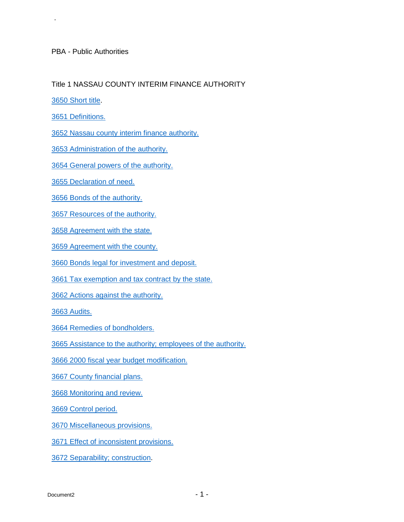PBA - Public Authorities

## Title 1 NASSAU COUNTY INTERIM FINANCE AUTHORITY

[3650 Short title.](#page-1-0)

.

[3651 Definitions.](#page-1-1) 

[3652 Nassau county interim finance authority.](#page-6-0) 

[3653 Administration of the authority.](#page-6-1) 

[3654 General powers of the authority.](#page-8-0) 

[3655 Declaration of need.](#page-13-0) 

[3656 Bonds of the authority.](#page-15-0) 

[3657 Resources of the authority.](#page-20-0) 

[3658 Agreement with the state.](#page-26-0) 

[3659 Agreement with the county.](#page-27-0) 

[3660 Bonds legal for investment and deposit.](#page-29-0) 

[3661 Tax exemption and tax contract by the state.](#page-29-1) 

[3662 Actions against the authority.](#page-30-0) 

[3663 Audits.](#page-34-0) 

[3664 Remedies of bondholders.](#page-34-1) 

[3665 Assistance to the authority; employees of the authority.](#page-36-0)

[3666 2000 fiscal year budget modification.](#page-36-1) 

[3667 County financial plans.](#page-38-0) 

[3668 Monitoring and review.](#page-46-0) 

[3669 Control period.](#page-47-0) 

[3670 Miscellaneous provisions.](#page-57-0) 

[3671 Effect of inconsistent provisions.](#page-59-0) 

[3672 Separability; construction.](#page-59-1)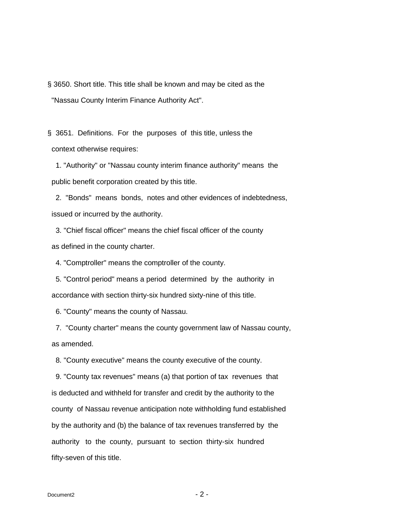<span id="page-1-0"></span>§ 3650. Short title. This title shall be known and may be cited as the "Nassau County Interim Finance Authority Act".

<span id="page-1-1"></span>§ 3651. Definitions. For the purposes of this title, unless the context otherwise requires:

1. "Authority" or "Nassau county interim finance authority" means the public benefit corporation created by this title.

2. "Bonds" means bonds, notes and other evidences of indebtedness, issued or incurred by the authority.

3. "Chief fiscal officer" means the chief fiscal officer of the county as defined in the county charter.

4. "Comptroller" means the comptroller of the county.

5. "Control period" means a period determined by the authority in accordance with section thirty-six hundred sixty-nine of this title.

6. "County" means the county of Nassau.

7. "County charter" means the county government law of Nassau county, as amended.

8. "County executive" means the county executive of the county.

9. "County tax revenues" means (a) that portion of tax revenues that is deducted and withheld for transfer and credit by the authority to the county of Nassau revenue anticipation note withholding fund established by the authority and (b) the balance of tax revenues transferred by the authority to the county, pursuant to section thirty-six hundred fifty-seven of this title.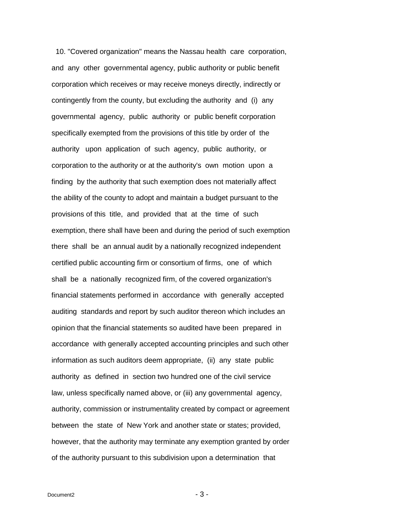10. "Covered organization" means the Nassau health care corporation, and any other governmental agency, public authority or public benefit corporation which receives or may receive moneys directly, indirectly or contingently from the county, but excluding the authority and (i) any governmental agency, public authority or public benefit corporation specifically exempted from the provisions of this title by order of the authority upon application of such agency, public authority, or corporation to the authority or at the authority's own motion upon a finding by the authority that such exemption does not materially affect the ability of the county to adopt and maintain a budget pursuant to the provisions of this title, and provided that at the time of such exemption, there shall have been and during the period of such exemption there shall be an annual audit by a nationally recognized independent certified public accounting firm or consortium of firms, one of which shall be a nationally recognized firm, of the covered organization's financial statements performed in accordance with generally accepted auditing standards and report by such auditor thereon which includes an opinion that the financial statements so audited have been prepared in accordance with generally accepted accounting principles and such other information as such auditors deem appropriate, (ii) any state public authority as defined in section two hundred one of the civil service law, unless specifically named above, or (iii) any governmental agency, authority, commission or instrumentality created by compact or agreement between the state of New York and another state or states; provided, however, that the authority may terminate any exemption granted by order of the authority pursuant to this subdivision upon a determination that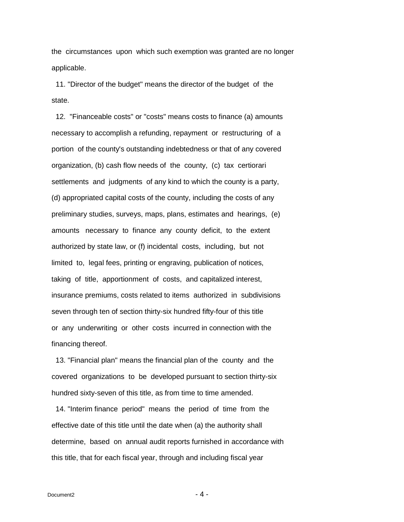the circumstances upon which such exemption was granted are no longer applicable.

 11. "Director of the budget" means the director of the budget of the state.

 12. "Financeable costs" or "costs" means costs to finance (a) amounts necessary to accomplish a refunding, repayment or restructuring of a portion of the county's outstanding indebtedness or that of any covered organization, (b) cash flow needs of the county, (c) tax certiorari settlements and judgments of any kind to which the county is a party, (d) appropriated capital costs of the county, including the costs of any preliminary studies, surveys, maps, plans, estimates and hearings, (e) amounts necessary to finance any county deficit, to the extent authorized by state law, or (f) incidental costs, including, but not limited to, legal fees, printing or engraving, publication of notices, taking of title, apportionment of costs, and capitalized interest, insurance premiums, costs related to items authorized in subdivisions seven through ten of section thirty-six hundred fifty-four of this title or any underwriting or other costs incurred in connection with the financing thereof.

 13. "Financial plan" means the financial plan of the county and the covered organizations to be developed pursuant to section thirty-six hundred sixty-seven of this title, as from time to time amended.

 14. "Interim finance period" means the period of time from the effective date of this title until the date when (a) the authority shall determine, based on annual audit reports furnished in accordance with this title, that for each fiscal year, through and including fiscal year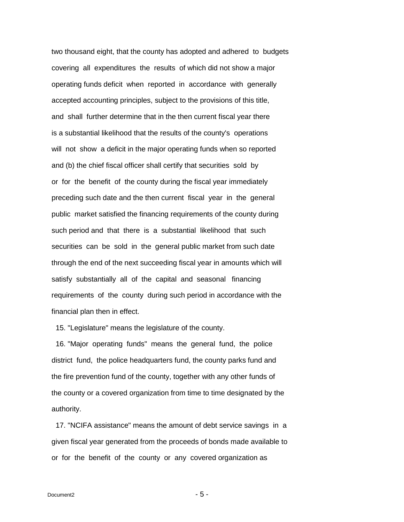two thousand eight, that the county has adopted and adhered to budgets covering all expenditures the results of which did not show a major operating funds deficit when reported in accordance with generally accepted accounting principles, subject to the provisions of this title, and shall further determine that in the then current fiscal year there is a substantial likelihood that the results of the county's operations will not show a deficit in the major operating funds when so reported and (b) the chief fiscal officer shall certify that securities sold by or for the benefit of the county during the fiscal year immediately preceding such date and the then current fiscal year in the general public market satisfied the financing requirements of the county during such period and that there is a substantial likelihood that such securities can be sold in the general public market from such date through the end of the next succeeding fiscal year in amounts which will satisfy substantially all of the capital and seasonal financing requirements of the county during such period in accordance with the financial plan then in effect.

15. "Legislature" means the legislature of the county.

 16. "Major operating funds" means the general fund, the police district fund, the police headquarters fund, the county parks fund and the fire prevention fund of the county, together with any other funds of the county or a covered organization from time to time designated by the authority.

 17. "NCIFA assistance" means the amount of debt service savings in a given fiscal year generated from the proceeds of bonds made available to or for the benefit of the county or any covered organization as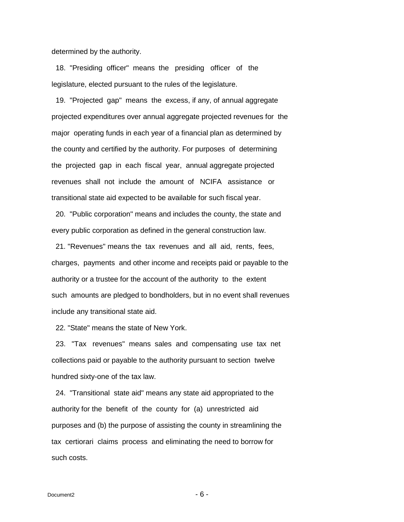determined by the authority.

 18. "Presiding officer" means the presiding officer of the legislature, elected pursuant to the rules of the legislature.

 19. "Projected gap" means the excess, if any, of annual aggregate projected expenditures over annual aggregate projected revenues for the major operating funds in each year of a financial plan as determined by the county and certified by the authority. For purposes of determining the projected gap in each fiscal year, annual aggregate projected revenues shall not include the amount of NCIFA assistance or transitional state aid expected to be available for such fiscal year.

 20. "Public corporation" means and includes the county, the state and every public corporation as defined in the general construction law.

 21. "Revenues" means the tax revenues and all aid, rents, fees, charges, payments and other income and receipts paid or payable to the authority or a trustee for the account of the authority to the extent such amounts are pledged to bondholders, but in no event shall revenues include any transitional state aid.

22. "State" means the state of New York.

 23. "Tax revenues" means sales and compensating use tax net collections paid or payable to the authority pursuant to section twelve hundred sixty-one of the tax law.

 24. "Transitional state aid" means any state aid appropriated to the authority for the benefit of the county for (a) unrestricted aid purposes and (b) the purpose of assisting the county in streamlining the tax certiorari claims process and eliminating the need to borrow for such costs.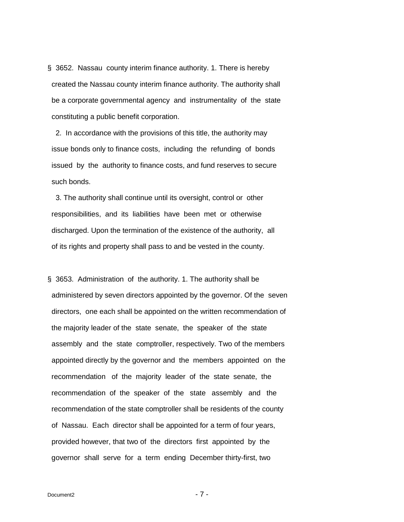<span id="page-6-0"></span>§ 3652. Nassau county interim finance authority. 1. There is hereby created the Nassau county interim finance authority. The authority shall be a corporate governmental agency and instrumentality of the state constituting a public benefit corporation.

 2. In accordance with the provisions of this title, the authority may issue bonds only to finance costs, including the refunding of bonds issued by the authority to finance costs, and fund reserves to secure such bonds.

 3. The authority shall continue until its oversight, control or other responsibilities, and its liabilities have been met or otherwise discharged. Upon the termination of the existence of the authority, all of its rights and property shall pass to and be vested in the county.

<span id="page-6-1"></span>§ 3653. Administration of the authority. 1. The authority shall be administered by seven directors appointed by the governor. Of the seven directors, one each shall be appointed on the written recommendation of the majority leader of the state senate, the speaker of the state assembly and the state comptroller, respectively. Two of the members appointed directly by the governor and the members appointed on the recommendation of the majority leader of the state senate, the recommendation of the speaker of the state assembly and the recommendation of the state comptroller shall be residents of the county of Nassau. Each director shall be appointed for a term of four years, provided however, that two of the directors first appointed by the governor shall serve for a term ending December thirty-first, two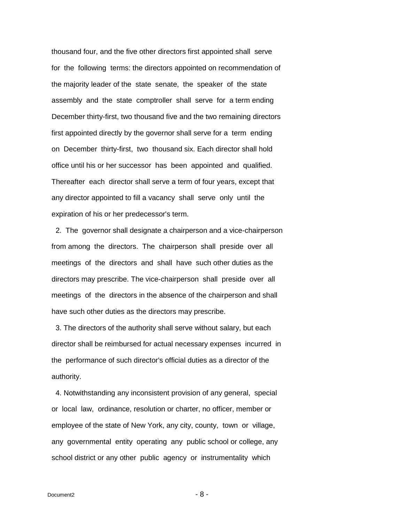thousand four, and the five other directors first appointed shall serve for the following terms: the directors appointed on recommendation of the majority leader of the state senate, the speaker of the state assembly and the state comptroller shall serve for a term ending December thirty-first, two thousand five and the two remaining directors first appointed directly by the governor shall serve for a term ending on December thirty-first, two thousand six. Each director shall hold office until his or her successor has been appointed and qualified. Thereafter each director shall serve a term of four years, except that any director appointed to fill a vacancy shall serve only until the expiration of his or her predecessor's term.

 2. The governor shall designate a chairperson and a vice-chairperson from among the directors. The chairperson shall preside over all meetings of the directors and shall have such other duties as the directors may prescribe. The vice-chairperson shall preside over all meetings of the directors in the absence of the chairperson and shall have such other duties as the directors may prescribe.

 3. The directors of the authority shall serve without salary, but each director shall be reimbursed for actual necessary expenses incurred in the performance of such director's official duties as a director of the authority.

 4. Notwithstanding any inconsistent provision of any general, special or local law, ordinance, resolution or charter, no officer, member or employee of the state of New York, any city, county, town or village, any governmental entity operating any public school or college, any school district or any other public agency or instrumentality which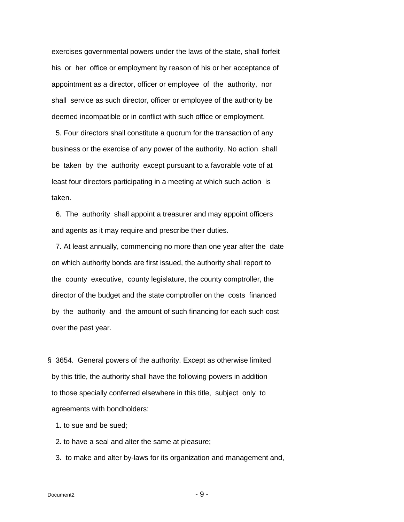exercises governmental powers under the laws of the state, shall forfeit his or her office or employment by reason of his or her acceptance of appointment as a director, officer or employee of the authority, nor shall service as such director, officer or employee of the authority be deemed incompatible or in conflict with such office or employment.

 5. Four directors shall constitute a quorum for the transaction of any business or the exercise of any power of the authority. No action shall be taken by the authority except pursuant to a favorable vote of at least four directors participating in a meeting at which such action is taken.

 6. The authority shall appoint a treasurer and may appoint officers and agents as it may require and prescribe their duties.

 7. At least annually, commencing no more than one year after the date on which authority bonds are first issued, the authority shall report to the county executive, county legislature, the county comptroller, the director of the budget and the state comptroller on the costs financed by the authority and the amount of such financing for each such cost over the past year.

<span id="page-8-0"></span>§ 3654. General powers of the authority. Except as otherwise limited by this title, the authority shall have the following powers in addition to those specially conferred elsewhere in this title, subject only to agreements with bondholders:

1. to sue and be sued;

2. to have a seal and alter the same at pleasure;

3. to make and alter by-laws for its organization and management and,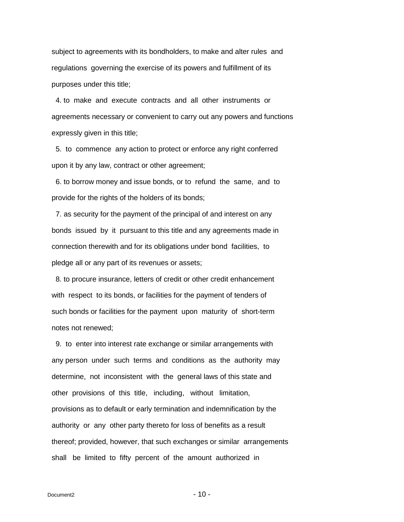subject to agreements with its bondholders, to make and alter rules and regulations governing the exercise of its powers and fulfillment of its purposes under this title;

 4. to make and execute contracts and all other instruments or agreements necessary or convenient to carry out any powers and functions expressly given in this title;

 5. to commence any action to protect or enforce any right conferred upon it by any law, contract or other agreement;

 6. to borrow money and issue bonds, or to refund the same, and to provide for the rights of the holders of its bonds;

 7. as security for the payment of the principal of and interest on any bonds issued by it pursuant to this title and any agreements made in connection therewith and for its obligations under bond facilities, to pledge all or any part of its revenues or assets;

 8. to procure insurance, letters of credit or other credit enhancement with respect to its bonds, or facilities for the payment of tenders of such bonds or facilities for the payment upon maturity of short-term notes not renewed;

 9. to enter into interest rate exchange or similar arrangements with any person under such terms and conditions as the authority may determine, not inconsistent with the general laws of this state and other provisions of this title, including, without limitation, provisions as to default or early termination and indemnification by the authority or any other party thereto for loss of benefits as a result thereof; provided, however, that such exchanges or similar arrangements shall be limited to fifty percent of the amount authorized in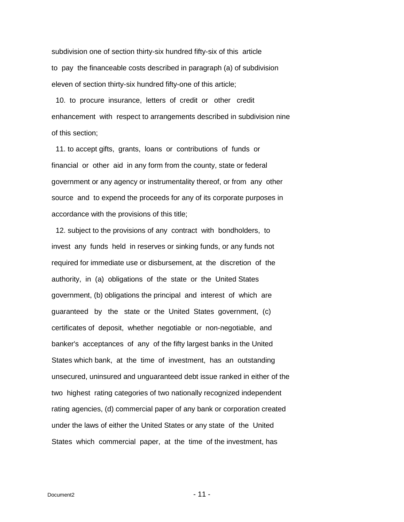subdivision one of section thirty-six hundred fifty-six of this article to pay the financeable costs described in paragraph (a) of subdivision eleven of section thirty-six hundred fifty-one of this article;

 10. to procure insurance, letters of credit or other credit enhancement with respect to arrangements described in subdivision nine of this section;

 11. to accept gifts, grants, loans or contributions of funds or financial or other aid in any form from the county, state or federal government or any agency or instrumentality thereof, or from any other source and to expend the proceeds for any of its corporate purposes in accordance with the provisions of this title;

 12. subject to the provisions of any contract with bondholders, to invest any funds held in reserves or sinking funds, or any funds not required for immediate use or disbursement, at the discretion of the authority, in (a) obligations of the state or the United States government, (b) obligations the principal and interest of which are guaranteed by the state or the United States government, (c) certificates of deposit, whether negotiable or non-negotiable, and banker's acceptances of any of the fifty largest banks in the United States which bank, at the time of investment, has an outstanding unsecured, uninsured and unguaranteed debt issue ranked in either of the two highest rating categories of two nationally recognized independent rating agencies, (d) commercial paper of any bank or corporation created under the laws of either the United States or any state of the United States which commercial paper, at the time of the investment, has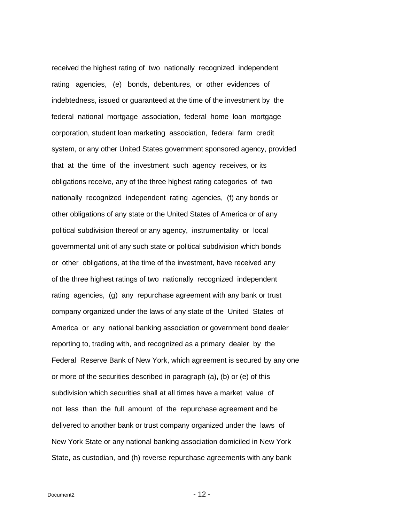received the highest rating of two nationally recognized independent rating agencies, (e) bonds, debentures, or other evidences of indebtedness, issued or guaranteed at the time of the investment by the federal national mortgage association, federal home loan mortgage corporation, student loan marketing association, federal farm credit system, or any other United States government sponsored agency, provided that at the time of the investment such agency receives, or its obligations receive, any of the three highest rating categories of two nationally recognized independent rating agencies, (f) any bonds or other obligations of any state or the United States of America or of any political subdivision thereof or any agency, instrumentality or local governmental unit of any such state or political subdivision which bonds or other obligations, at the time of the investment, have received any of the three highest ratings of two nationally recognized independent rating agencies, (g) any repurchase agreement with any bank or trust company organized under the laws of any state of the United States of America or any national banking association or government bond dealer reporting to, trading with, and recognized as a primary dealer by the Federal Reserve Bank of New York, which agreement is secured by any one or more of the securities described in paragraph (a), (b) or (e) of this subdivision which securities shall at all times have a market value of not less than the full amount of the repurchase agreement and be delivered to another bank or trust company organized under the laws of New York State or any national banking association domiciled in New York State, as custodian, and (h) reverse repurchase agreements with any bank

 $Document2$  - 12 -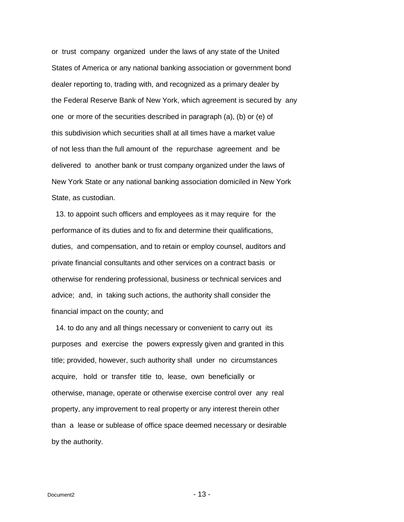or trust company organized under the laws of any state of the United States of America or any national banking association or government bond dealer reporting to, trading with, and recognized as a primary dealer by the Federal Reserve Bank of New York, which agreement is secured by any one or more of the securities described in paragraph (a), (b) or (e) of this subdivision which securities shall at all times have a market value of not less than the full amount of the repurchase agreement and be delivered to another bank or trust company organized under the laws of New York State or any national banking association domiciled in New York State, as custodian.

 13. to appoint such officers and employees as it may require for the performance of its duties and to fix and determine their qualifications, duties, and compensation, and to retain or employ counsel, auditors and private financial consultants and other services on a contract basis or otherwise for rendering professional, business or technical services and advice; and, in taking such actions, the authority shall consider the financial impact on the county; and

 14. to do any and all things necessary or convenient to carry out its purposes and exercise the powers expressly given and granted in this title; provided, however, such authority shall under no circumstances acquire, hold or transfer title to, lease, own beneficially or otherwise, manage, operate or otherwise exercise control over any real property, any improvement to real property or any interest therein other than a lease or sublease of office space deemed necessary or desirable by the authority.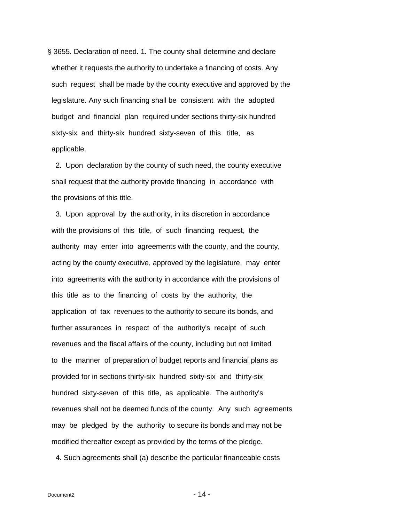<span id="page-13-0"></span>§ 3655. Declaration of need. 1. The county shall determine and declare whether it requests the authority to undertake a financing of costs. Any such request shall be made by the county executive and approved by the legislature. Any such financing shall be consistent with the adopted budget and financial plan required under sections thirty-six hundred sixty-six and thirty-six hundred sixty-seven of this title, as applicable.

 2. Upon declaration by the county of such need, the county executive shall request that the authority provide financing in accordance with the provisions of this title.

 3. Upon approval by the authority, in its discretion in accordance with the provisions of this title, of such financing request, the authority may enter into agreements with the county, and the county, acting by the county executive, approved by the legislature, may enter into agreements with the authority in accordance with the provisions of this title as to the financing of costs by the authority, the application of tax revenues to the authority to secure its bonds, and further assurances in respect of the authority's receipt of such revenues and the fiscal affairs of the county, including but not limited to the manner of preparation of budget reports and financial plans as provided for in sections thirty-six hundred sixty-six and thirty-six hundred sixty-seven of this title, as applicable. The authority's revenues shall not be deemed funds of the county. Any such agreements may be pledged by the authority to secure its bonds and may not be modified thereafter except as provided by the terms of the pledge.

4. Such agreements shall (a) describe the particular financeable costs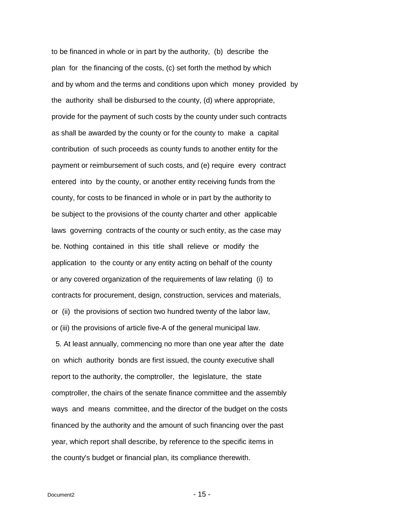to be financed in whole or in part by the authority, (b) describe the plan for the financing of the costs, (c) set forth the method by which and by whom and the terms and conditions upon which money provided by the authority shall be disbursed to the county, (d) where appropriate, provide for the payment of such costs by the county under such contracts as shall be awarded by the county or for the county to make a capital contribution of such proceeds as county funds to another entity for the payment or reimbursement of such costs, and (e) require every contract entered into by the county, or another entity receiving funds from the county, for costs to be financed in whole or in part by the authority to be subject to the provisions of the county charter and other applicable laws governing contracts of the county or such entity, as the case may be. Nothing contained in this title shall relieve or modify the application to the county or any entity acting on behalf of the county or any covered organization of the requirements of law relating (i) to contracts for procurement, design, construction, services and materials, or (ii) the provisions of section two hundred twenty of the labor law, or (iii) the provisions of article five-A of the general municipal law.

 5. At least annually, commencing no more than one year after the date on which authority bonds are first issued, the county executive shall report to the authority, the comptroller, the legislature, the state comptroller, the chairs of the senate finance committee and the assembly ways and means committee, and the director of the budget on the costs financed by the authority and the amount of such financing over the past year, which report shall describe, by reference to the specific items in the county's budget or financial plan, its compliance therewith.

 $Document2$  - 15 -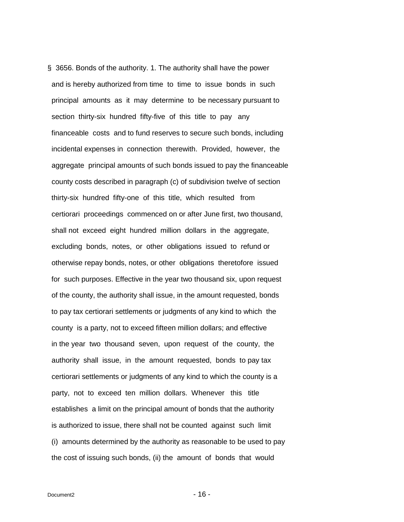<span id="page-15-0"></span>§ 3656. Bonds of the authority. 1. The authority shall have the power and is hereby authorized from time to time to issue bonds in such principal amounts as it may determine to be necessary pursuant to section thirty-six hundred fifty-five of this title to pay any financeable costs and to fund reserves to secure such bonds, including incidental expenses in connection therewith. Provided, however, the aggregate principal amounts of such bonds issued to pay the financeable county costs described in paragraph (c) of subdivision twelve of section thirty-six hundred fifty-one of this title, which resulted from certiorari proceedings commenced on or after June first, two thousand, shall not exceed eight hundred million dollars in the aggregate, excluding bonds, notes, or other obligations issued to refund or otherwise repay bonds, notes, or other obligations theretofore issued for such purposes. Effective in the year two thousand six, upon request of the county, the authority shall issue, in the amount requested, bonds to pay tax certiorari settlements or judgments of any kind to which the county is a party, not to exceed fifteen million dollars; and effective in the year two thousand seven, upon request of the county, the authority shall issue, in the amount requested, bonds to pay tax certiorari settlements or judgments of any kind to which the county is a party, not to exceed ten million dollars. Whenever this title establishes a limit on the principal amount of bonds that the authority is authorized to issue, there shall not be counted against such limit (i) amounts determined by the authority as reasonable to be used to pay the cost of issuing such bonds, (ii) the amount of bonds that would

 $Document2$  - 16 -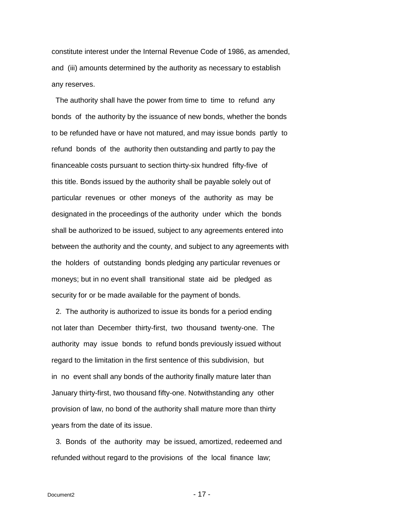constitute interest under the Internal Revenue Code of 1986, as amended, and (iii) amounts determined by the authority as necessary to establish any reserves.

 The authority shall have the power from time to time to refund any bonds of the authority by the issuance of new bonds, whether the bonds to be refunded have or have not matured, and may issue bonds partly to refund bonds of the authority then outstanding and partly to pay the financeable costs pursuant to section thirty-six hundred fifty-five of this title. Bonds issued by the authority shall be payable solely out of particular revenues or other moneys of the authority as may be designated in the proceedings of the authority under which the bonds shall be authorized to be issued, subject to any agreements entered into between the authority and the county, and subject to any agreements with the holders of outstanding bonds pledging any particular revenues or moneys; but in no event shall transitional state aid be pledged as security for or be made available for the payment of bonds.

 2. The authority is authorized to issue its bonds for a period ending not later than December thirty-first, two thousand twenty-one. The authority may issue bonds to refund bonds previously issued without regard to the limitation in the first sentence of this subdivision, but in no event shall any bonds of the authority finally mature later than January thirty-first, two thousand fifty-one. Notwithstanding any other provision of law, no bond of the authority shall mature more than thirty years from the date of its issue.

 3. Bonds of the authority may be issued, amortized, redeemed and refunded without regard to the provisions of the local finance law;

 $Document2$  - 17 -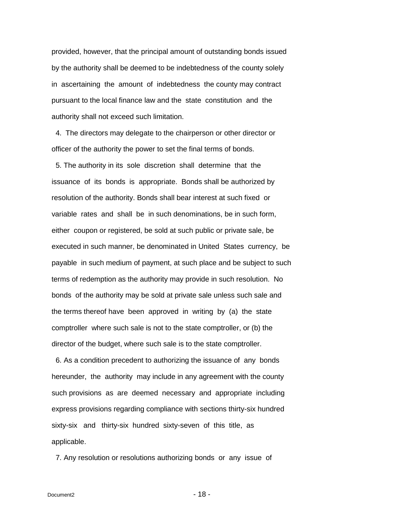provided, however, that the principal amount of outstanding bonds issued by the authority shall be deemed to be indebtedness of the county solely in ascertaining the amount of indebtedness the county may contract pursuant to the local finance law and the state constitution and the authority shall not exceed such limitation.

 4. The directors may delegate to the chairperson or other director or officer of the authority the power to set the final terms of bonds.

 5. The authority in its sole discretion shall determine that the issuance of its bonds is appropriate. Bonds shall be authorized by resolution of the authority. Bonds shall bear interest at such fixed or variable rates and shall be in such denominations, be in such form, either coupon or registered, be sold at such public or private sale, be executed in such manner, be denominated in United States currency, be payable in such medium of payment, at such place and be subject to such terms of redemption as the authority may provide in such resolution. No bonds of the authority may be sold at private sale unless such sale and the terms thereof have been approved in writing by (a) the state comptroller where such sale is not to the state comptroller, or (b) the director of the budget, where such sale is to the state comptroller.

 6. As a condition precedent to authorizing the issuance of any bonds hereunder, the authority may include in any agreement with the county such provisions as are deemed necessary and appropriate including express provisions regarding compliance with sections thirty-six hundred sixty-six and thirty-six hundred sixty-seven of this title, as applicable.

7. Any resolution or resolutions authorizing bonds or any issue of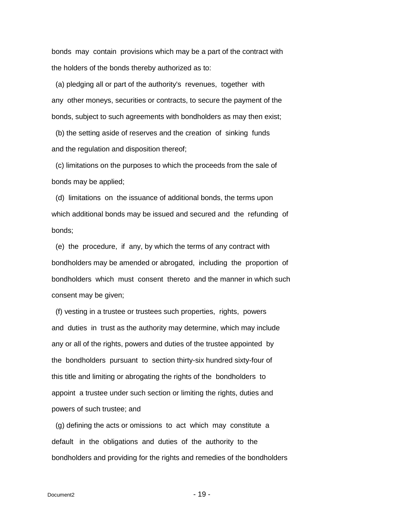bonds may contain provisions which may be a part of the contract with the holders of the bonds thereby authorized as to:

 (a) pledging all or part of the authority's revenues, together with any other moneys, securities or contracts, to secure the payment of the bonds, subject to such agreements with bondholders as may then exist;

 (b) the setting aside of reserves and the creation of sinking funds and the regulation and disposition thereof;

 (c) limitations on the purposes to which the proceeds from the sale of bonds may be applied;

 (d) limitations on the issuance of additional bonds, the terms upon which additional bonds may be issued and secured and the refunding of bonds;

 (e) the procedure, if any, by which the terms of any contract with bondholders may be amended or abrogated, including the proportion of bondholders which must consent thereto and the manner in which such consent may be given;

 (f) vesting in a trustee or trustees such properties, rights, powers and duties in trust as the authority may determine, which may include any or all of the rights, powers and duties of the trustee appointed by the bondholders pursuant to section thirty-six hundred sixty-four of this title and limiting or abrogating the rights of the bondholders to appoint a trustee under such section or limiting the rights, duties and powers of such trustee; and

 (g) defining the acts or omissions to act which may constitute a default in the obligations and duties of the authority to the bondholders and providing for the rights and remedies of the bondholders

 $Document2$  - 19 -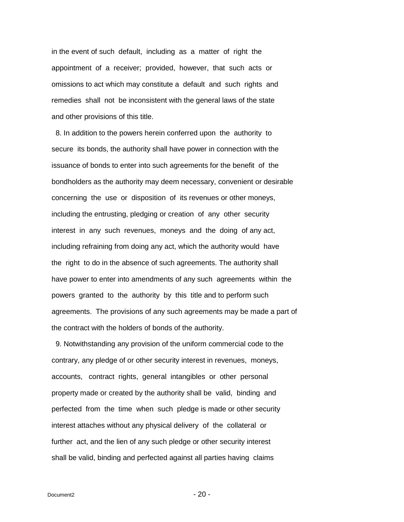in the event of such default, including as a matter of right the appointment of a receiver; provided, however, that such acts or omissions to act which may constitute a default and such rights and remedies shall not be inconsistent with the general laws of the state and other provisions of this title.

 8. In addition to the powers herein conferred upon the authority to secure its bonds, the authority shall have power in connection with the issuance of bonds to enter into such agreements for the benefit of the bondholders as the authority may deem necessary, convenient or desirable concerning the use or disposition of its revenues or other moneys, including the entrusting, pledging or creation of any other security interest in any such revenues, moneys and the doing of any act, including refraining from doing any act, which the authority would have the right to do in the absence of such agreements. The authority shall have power to enter into amendments of any such agreements within the powers granted to the authority by this title and to perform such agreements. The provisions of any such agreements may be made a part of the contract with the holders of bonds of the authority.

 9. Notwithstanding any provision of the uniform commercial code to the contrary, any pledge of or other security interest in revenues, moneys, accounts, contract rights, general intangibles or other personal property made or created by the authority shall be valid, binding and perfected from the time when such pledge is made or other security interest attaches without any physical delivery of the collateral or further act, and the lien of any such pledge or other security interest shall be valid, binding and perfected against all parties having claims

 $Document2$  - 20 -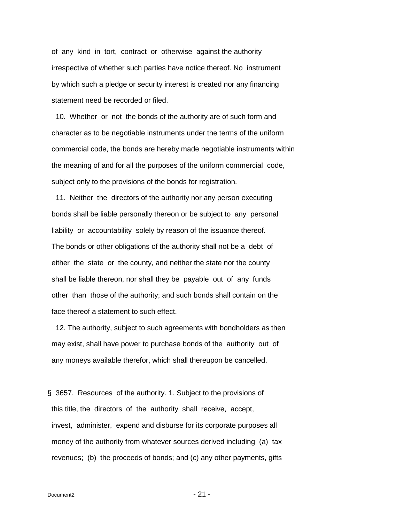of any kind in tort, contract or otherwise against the authority irrespective of whether such parties have notice thereof. No instrument by which such a pledge or security interest is created nor any financing statement need be recorded or filed.

 10. Whether or not the bonds of the authority are of such form and character as to be negotiable instruments under the terms of the uniform commercial code, the bonds are hereby made negotiable instruments within the meaning of and for all the purposes of the uniform commercial code, subject only to the provisions of the bonds for registration.

 11. Neither the directors of the authority nor any person executing bonds shall be liable personally thereon or be subject to any personal liability or accountability solely by reason of the issuance thereof. The bonds or other obligations of the authority shall not be a debt of either the state or the county, and neither the state nor the county shall be liable thereon, nor shall they be payable out of any funds other than those of the authority; and such bonds shall contain on the face thereof a statement to such effect.

 12. The authority, subject to such agreements with bondholders as then may exist, shall have power to purchase bonds of the authority out of any moneys available therefor, which shall thereupon be cancelled.

<span id="page-20-0"></span>§ 3657. Resources of the authority. 1. Subject to the provisions of this title, the directors of the authority shall receive, accept, invest, administer, expend and disburse for its corporate purposes all money of the authority from whatever sources derived including (a) tax revenues; (b) the proceeds of bonds; and (c) any other payments, gifts

 $Document2$  - 21 -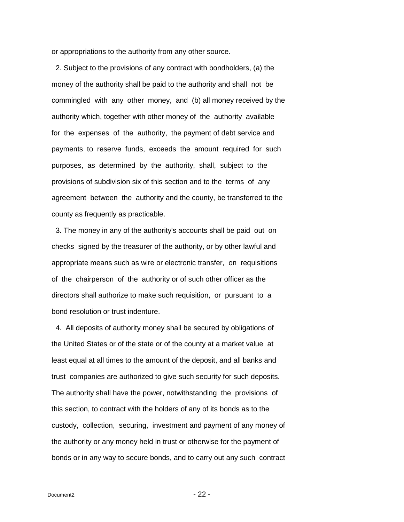or appropriations to the authority from any other source.

 2. Subject to the provisions of any contract with bondholders, (a) the money of the authority shall be paid to the authority and shall not be commingled with any other money, and (b) all money received by the authority which, together with other money of the authority available for the expenses of the authority, the payment of debt service and payments to reserve funds, exceeds the amount required for such purposes, as determined by the authority, shall, subject to the provisions of subdivision six of this section and to the terms of any agreement between the authority and the county, be transferred to the county as frequently as practicable.

 3. The money in any of the authority's accounts shall be paid out on checks signed by the treasurer of the authority, or by other lawful and appropriate means such as wire or electronic transfer, on requisitions of the chairperson of the authority or of such other officer as the directors shall authorize to make such requisition, or pursuant to a bond resolution or trust indenture.

 4. All deposits of authority money shall be secured by obligations of the United States or of the state or of the county at a market value at least equal at all times to the amount of the deposit, and all banks and trust companies are authorized to give such security for such deposits. The authority shall have the power, notwithstanding the provisions of this section, to contract with the holders of any of its bonds as to the custody, collection, securing, investment and payment of any money of the authority or any money held in trust or otherwise for the payment of bonds or in any way to secure bonds, and to carry out any such contract

 $Document2 - 22 -$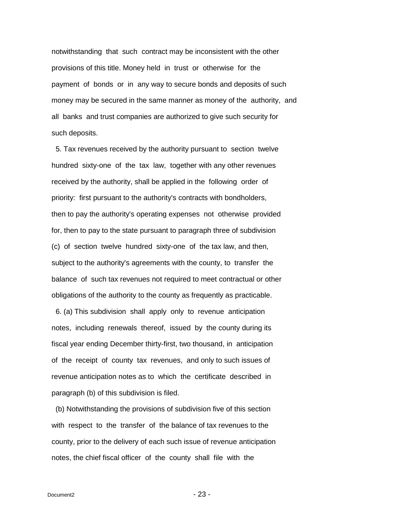notwithstanding that such contract may be inconsistent with the other provisions of this title. Money held in trust or otherwise for the payment of bonds or in any way to secure bonds and deposits of such money may be secured in the same manner as money of the authority, and all banks and trust companies are authorized to give such security for such deposits.

 5. Tax revenues received by the authority pursuant to section twelve hundred sixty-one of the tax law, together with any other revenues received by the authority, shall be applied in the following order of priority: first pursuant to the authority's contracts with bondholders, then to pay the authority's operating expenses not otherwise provided for, then to pay to the state pursuant to paragraph three of subdivision (c) of section twelve hundred sixty-one of the tax law, and then, subject to the authority's agreements with the county, to transfer the balance of such tax revenues not required to meet contractual or other obligations of the authority to the county as frequently as practicable.

 6. (a) This subdivision shall apply only to revenue anticipation notes, including renewals thereof, issued by the county during its fiscal year ending December thirty-first, two thousand, in anticipation of the receipt of county tax revenues, and only to such issues of revenue anticipation notes as to which the certificate described in paragraph (b) of this subdivision is filed.

 (b) Notwithstanding the provisions of subdivision five of this section with respect to the transfer of the balance of tax revenues to the county, prior to the delivery of each such issue of revenue anticipation notes, the chief fiscal officer of the county shall file with the

 $Document2$  - 23 -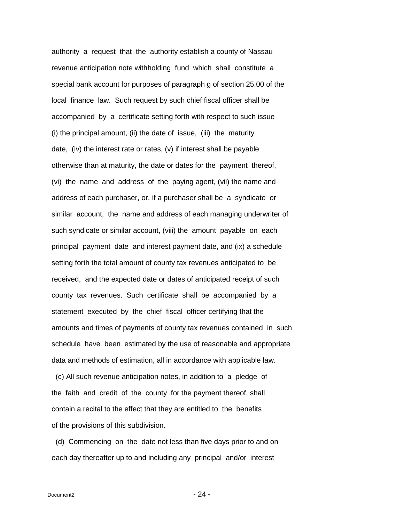authority a request that the authority establish a county of Nassau revenue anticipation note withholding fund which shall constitute a special bank account for purposes of paragraph g of section 25.00 of the local finance law. Such request by such chief fiscal officer shall be accompanied by a certificate setting forth with respect to such issue (i) the principal amount, (ii) the date of issue, (iii) the maturity date, (iv) the interest rate or rates, (v) if interest shall be payable otherwise than at maturity, the date or dates for the payment thereof, (vi) the name and address of the paying agent, (vii) the name and address of each purchaser, or, if a purchaser shall be a syndicate or similar account, the name and address of each managing underwriter of such syndicate or similar account, (viii) the amount payable on each principal payment date and interest payment date, and (ix) a schedule setting forth the total amount of county tax revenues anticipated to be received, and the expected date or dates of anticipated receipt of such county tax revenues. Such certificate shall be accompanied by a statement executed by the chief fiscal officer certifying that the amounts and times of payments of county tax revenues contained in such schedule have been estimated by the use of reasonable and appropriate data and methods of estimation, all in accordance with applicable law.

 (c) All such revenue anticipation notes, in addition to a pledge of the faith and credit of the county for the payment thereof, shall contain a recital to the effect that they are entitled to the benefits of the provisions of this subdivision.

 (d) Commencing on the date not less than five days prior to and on each day thereafter up to and including any principal and/or interest

 $Document2$  - 24 -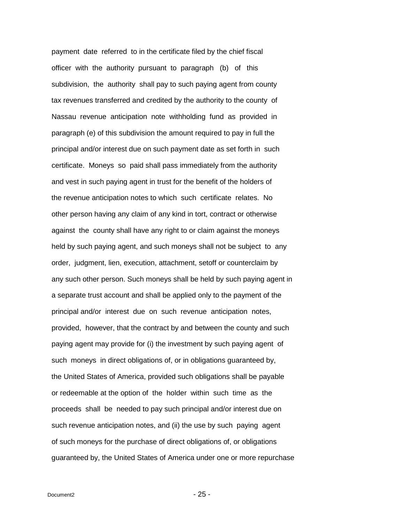payment date referred to in the certificate filed by the chief fiscal officer with the authority pursuant to paragraph (b) of this subdivision, the authority shall pay to such paying agent from county tax revenues transferred and credited by the authority to the county of Nassau revenue anticipation note withholding fund as provided in paragraph (e) of this subdivision the amount required to pay in full the principal and/or interest due on such payment date as set forth in such certificate. Moneys so paid shall pass immediately from the authority and vest in such paying agent in trust for the benefit of the holders of the revenue anticipation notes to which such certificate relates. No other person having any claim of any kind in tort, contract or otherwise against the county shall have any right to or claim against the moneys held by such paying agent, and such moneys shall not be subject to any order, judgment, lien, execution, attachment, setoff or counterclaim by any such other person. Such moneys shall be held by such paying agent in a separate trust account and shall be applied only to the payment of the principal and/or interest due on such revenue anticipation notes, provided, however, that the contract by and between the county and such paying agent may provide for (i) the investment by such paying agent of such moneys in direct obligations of, or in obligations guaranteed by, the United States of America, provided such obligations shall be payable or redeemable at the option of the holder within such time as the proceeds shall be needed to pay such principal and/or interest due on such revenue anticipation notes, and (ii) the use by such paying agent of such moneys for the purchase of direct obligations of, or obligations guaranteed by, the United States of America under one or more repurchase

 $Document2$  - 25 -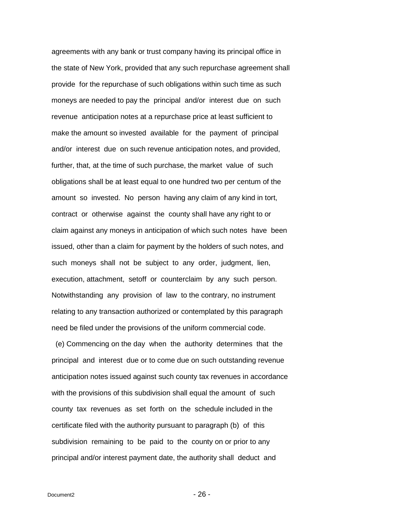agreements with any bank or trust company having its principal office in the state of New York, provided that any such repurchase agreement shall provide for the repurchase of such obligations within such time as such moneys are needed to pay the principal and/or interest due on such revenue anticipation notes at a repurchase price at least sufficient to make the amount so invested available for the payment of principal and/or interest due on such revenue anticipation notes, and provided, further, that, at the time of such purchase, the market value of such obligations shall be at least equal to one hundred two per centum of the amount so invested. No person having any claim of any kind in tort, contract or otherwise against the county shall have any right to or claim against any moneys in anticipation of which such notes have been issued, other than a claim for payment by the holders of such notes, and such moneys shall not be subject to any order, judgment, lien, execution, attachment, setoff or counterclaim by any such person. Notwithstanding any provision of law to the contrary, no instrument relating to any transaction authorized or contemplated by this paragraph need be filed under the provisions of the uniform commercial code.

 (e) Commencing on the day when the authority determines that the principal and interest due or to come due on such outstanding revenue anticipation notes issued against such county tax revenues in accordance with the provisions of this subdivision shall equal the amount of such county tax revenues as set forth on the schedule included in the certificate filed with the authority pursuant to paragraph (b) of this subdivision remaining to be paid to the county on or prior to any principal and/or interest payment date, the authority shall deduct and

 $Document2$  -  $26 -$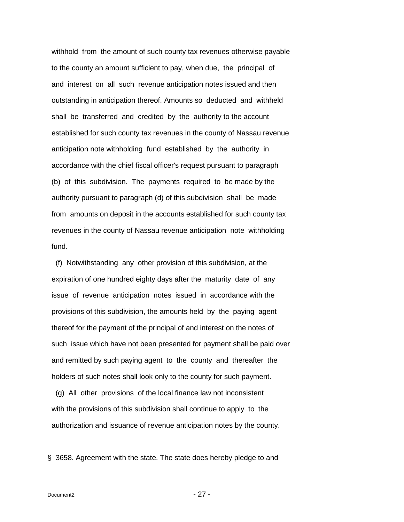withhold from the amount of such county tax revenues otherwise payable to the county an amount sufficient to pay, when due, the principal of and interest on all such revenue anticipation notes issued and then outstanding in anticipation thereof. Amounts so deducted and withheld shall be transferred and credited by the authority to the account established for such county tax revenues in the county of Nassau revenue anticipation note withholding fund established by the authority in accordance with the chief fiscal officer's request pursuant to paragraph (b) of this subdivision. The payments required to be made by the authority pursuant to paragraph (d) of this subdivision shall be made from amounts on deposit in the accounts established for such county tax revenues in the county of Nassau revenue anticipation note withholding fund.

 (f) Notwithstanding any other provision of this subdivision, at the expiration of one hundred eighty days after the maturity date of any issue of revenue anticipation notes issued in accordance with the provisions of this subdivision, the amounts held by the paying agent thereof for the payment of the principal of and interest on the notes of such issue which have not been presented for payment shall be paid over and remitted by such paying agent to the county and thereafter the holders of such notes shall look only to the county for such payment.

 (g) All other provisions of the local finance law not inconsistent with the provisions of this subdivision shall continue to apply to the authorization and issuance of revenue anticipation notes by the county.

<span id="page-26-0"></span>§ 3658. Agreement with the state. The state does hereby pledge to and

 $Document2$  - 27 -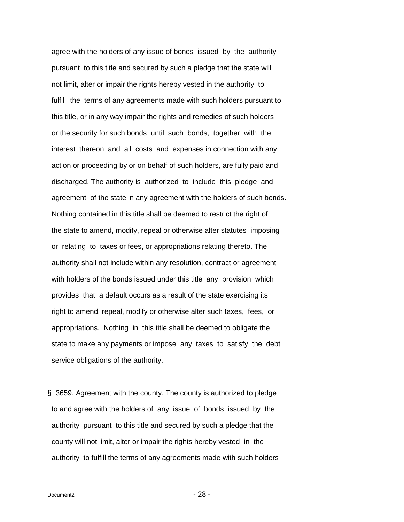agree with the holders of any issue of bonds issued by the authority pursuant to this title and secured by such a pledge that the state will not limit, alter or impair the rights hereby vested in the authority to fulfill the terms of any agreements made with such holders pursuant to this title, or in any way impair the rights and remedies of such holders or the security for such bonds until such bonds, together with the interest thereon and all costs and expenses in connection with any action or proceeding by or on behalf of such holders, are fully paid and discharged. The authority is authorized to include this pledge and agreement of the state in any agreement with the holders of such bonds. Nothing contained in this title shall be deemed to restrict the right of the state to amend, modify, repeal or otherwise alter statutes imposing or relating to taxes or fees, or appropriations relating thereto. The authority shall not include within any resolution, contract or agreement with holders of the bonds issued under this title any provision which provides that a default occurs as a result of the state exercising its right to amend, repeal, modify or otherwise alter such taxes, fees, or appropriations. Nothing in this title shall be deemed to obligate the state to make any payments or impose any taxes to satisfy the debt service obligations of the authority.

<span id="page-27-0"></span>§ 3659. Agreement with the county. The county is authorized to pledge to and agree with the holders of any issue of bonds issued by the authority pursuant to this title and secured by such a pledge that the county will not limit, alter or impair the rights hereby vested in the authority to fulfill the terms of any agreements made with such holders

 $Document2$  -  $28 -$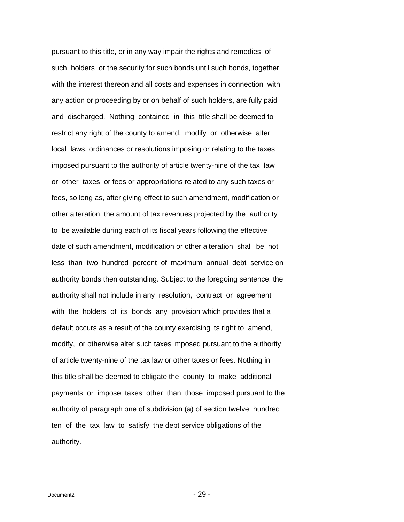pursuant to this title, or in any way impair the rights and remedies of such holders or the security for such bonds until such bonds, together with the interest thereon and all costs and expenses in connection with any action or proceeding by or on behalf of such holders, are fully paid and discharged. Nothing contained in this title shall be deemed to restrict any right of the county to amend, modify or otherwise alter local laws, ordinances or resolutions imposing or relating to the taxes imposed pursuant to the authority of article twenty-nine of the tax law or other taxes or fees or appropriations related to any such taxes or fees, so long as, after giving effect to such amendment, modification or other alteration, the amount of tax revenues projected by the authority to be available during each of its fiscal years following the effective date of such amendment, modification or other alteration shall be not less than two hundred percent of maximum annual debt service on authority bonds then outstanding. Subject to the foregoing sentence, the authority shall not include in any resolution, contract or agreement with the holders of its bonds any provision which provides that a default occurs as a result of the county exercising its right to amend, modify, or otherwise alter such taxes imposed pursuant to the authority of article twenty-nine of the tax law or other taxes or fees. Nothing in this title shall be deemed to obligate the county to make additional payments or impose taxes other than those imposed pursuant to the authority of paragraph one of subdivision (a) of section twelve hundred ten of the tax law to satisfy the debt service obligations of the authority.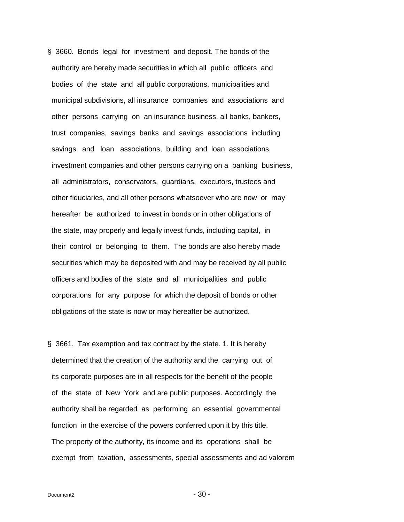<span id="page-29-0"></span>§ 3660. Bonds legal for investment and deposit. The bonds of the authority are hereby made securities in which all public officers and bodies of the state and all public corporations, municipalities and municipal subdivisions, all insurance companies and associations and other persons carrying on an insurance business, all banks, bankers, trust companies, savings banks and savings associations including savings and loan associations, building and loan associations, investment companies and other persons carrying on a banking business, all administrators, conservators, guardians, executors, trustees and other fiduciaries, and all other persons whatsoever who are now or may hereafter be authorized to invest in bonds or in other obligations of the state, may properly and legally invest funds, including capital, in their control or belonging to them. The bonds are also hereby made securities which may be deposited with and may be received by all public officers and bodies of the state and all municipalities and public corporations for any purpose for which the deposit of bonds or other obligations of the state is now or may hereafter be authorized.

<span id="page-29-1"></span>§ 3661. Tax exemption and tax contract by the state. 1. It is hereby determined that the creation of the authority and the carrying out of its corporate purposes are in all respects for the benefit of the people of the state of New York and are public purposes. Accordingly, the authority shall be regarded as performing an essential governmental function in the exercise of the powers conferred upon it by this title. The property of the authority, its income and its operations shall be exempt from taxation, assessments, special assessments and ad valorem

 $Document2$  -  $30 -$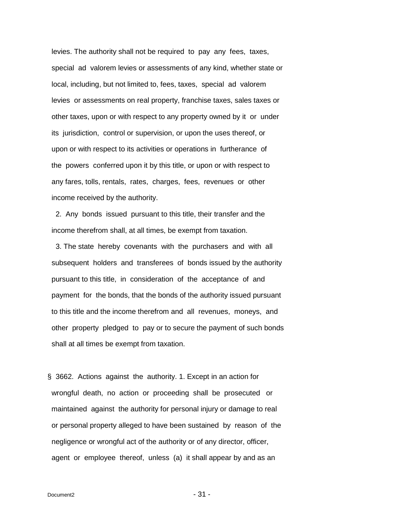levies. The authority shall not be required to pay any fees, taxes, special ad valorem levies or assessments of any kind, whether state or local, including, but not limited to, fees, taxes, special ad valorem levies or assessments on real property, franchise taxes, sales taxes or other taxes, upon or with respect to any property owned by it or under its jurisdiction, control or supervision, or upon the uses thereof, or upon or with respect to its activities or operations in furtherance of the powers conferred upon it by this title, or upon or with respect to any fares, tolls, rentals, rates, charges, fees, revenues or other income received by the authority.

 2. Any bonds issued pursuant to this title, their transfer and the income therefrom shall, at all times, be exempt from taxation.

 3. The state hereby covenants with the purchasers and with all subsequent holders and transferees of bonds issued by the authority pursuant to this title, in consideration of the acceptance of and payment for the bonds, that the bonds of the authority issued pursuant to this title and the income therefrom and all revenues, moneys, and other property pledged to pay or to secure the payment of such bonds shall at all times be exempt from taxation.

<span id="page-30-0"></span>§ 3662. Actions against the authority. 1. Except in an action for wrongful death, no action or proceeding shall be prosecuted or maintained against the authority for personal injury or damage to real or personal property alleged to have been sustained by reason of the negligence or wrongful act of the authority or of any director, officer, agent or employee thereof, unless (a) it shall appear by and as an

 $Document2$  -  $31 -$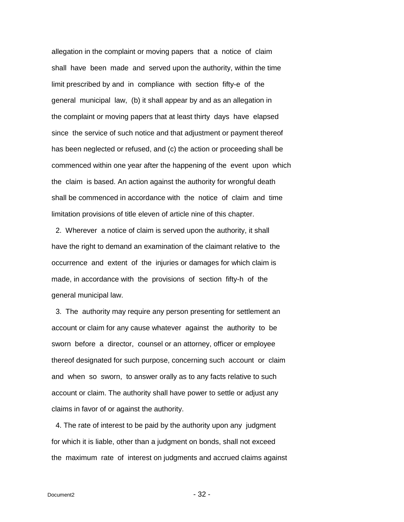allegation in the complaint or moving papers that a notice of claim shall have been made and served upon the authority, within the time limit prescribed by and in compliance with section fifty-e of the general municipal law, (b) it shall appear by and as an allegation in the complaint or moving papers that at least thirty days have elapsed since the service of such notice and that adjustment or payment thereof has been neglected or refused, and (c) the action or proceeding shall be commenced within one year after the happening of the event upon which the claim is based. An action against the authority for wrongful death shall be commenced in accordance with the notice of claim and time limitation provisions of title eleven of article nine of this chapter.

 2. Wherever a notice of claim is served upon the authority, it shall have the right to demand an examination of the claimant relative to the occurrence and extent of the injuries or damages for which claim is made, in accordance with the provisions of section fifty-h of the general municipal law.

 3. The authority may require any person presenting for settlement an account or claim for any cause whatever against the authority to be sworn before a director, counsel or an attorney, officer or employee thereof designated for such purpose, concerning such account or claim and when so sworn, to answer orally as to any facts relative to such account or claim. The authority shall have power to settle or adjust any claims in favor of or against the authority.

 4. The rate of interest to be paid by the authority upon any judgment for which it is liable, other than a judgment on bonds, shall not exceed the maximum rate of interest on judgments and accrued claims against

 $Document2$  -  $32$  -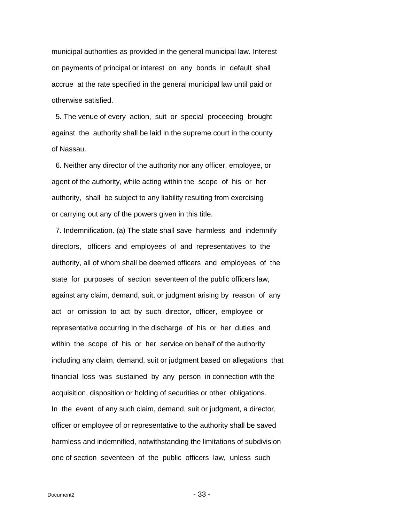municipal authorities as provided in the general municipal law. Interest on payments of principal or interest on any bonds in default shall accrue at the rate specified in the general municipal law until paid or otherwise satisfied.

 5. The venue of every action, suit or special proceeding brought against the authority shall be laid in the supreme court in the county of Nassau.

 6. Neither any director of the authority nor any officer, employee, or agent of the authority, while acting within the scope of his or her authority, shall be subject to any liability resulting from exercising or carrying out any of the powers given in this title.

 7. Indemnification. (a) The state shall save harmless and indemnify directors, officers and employees of and representatives to the authority, all of whom shall be deemed officers and employees of the state for purposes of section seventeen of the public officers law, against any claim, demand, suit, or judgment arising by reason of any act or omission to act by such director, officer, employee or representative occurring in the discharge of his or her duties and within the scope of his or her service on behalf of the authority including any claim, demand, suit or judgment based on allegations that financial loss was sustained by any person in connection with the acquisition, disposition or holding of securities or other obligations. In the event of any such claim, demand, suit or judgment, a director, officer or employee of or representative to the authority shall be saved harmless and indemnified, notwithstanding the limitations of subdivision one of section seventeen of the public officers law, unless such

 $Document2$  -  $33 -$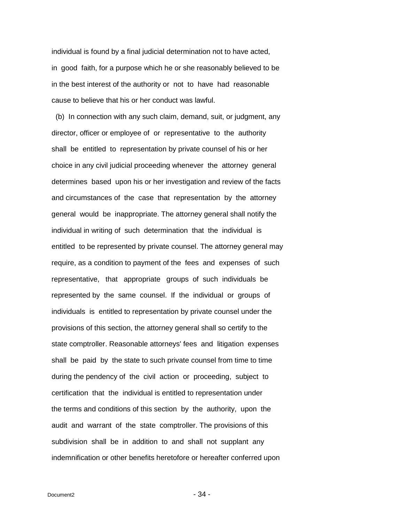individual is found by a final judicial determination not to have acted, in good faith, for a purpose which he or she reasonably believed to be in the best interest of the authority or not to have had reasonable cause to believe that his or her conduct was lawful.

 (b) In connection with any such claim, demand, suit, or judgment, any director, officer or employee of or representative to the authority shall be entitled to representation by private counsel of his or her choice in any civil judicial proceeding whenever the attorney general determines based upon his or her investigation and review of the facts and circumstances of the case that representation by the attorney general would be inappropriate. The attorney general shall notify the individual in writing of such determination that the individual is entitled to be represented by private counsel. The attorney general may require, as a condition to payment of the fees and expenses of such representative, that appropriate groups of such individuals be represented by the same counsel. If the individual or groups of individuals is entitled to representation by private counsel under the provisions of this section, the attorney general shall so certify to the state comptroller. Reasonable attorneys' fees and litigation expenses shall be paid by the state to such private counsel from time to time during the pendency of the civil action or proceeding, subject to certification that the individual is entitled to representation under the terms and conditions of this section by the authority, upon the audit and warrant of the state comptroller. The provisions of this subdivision shall be in addition to and shall not supplant any indemnification or other benefits heretofore or hereafter conferred upon

 $Document2$  -  $34$  -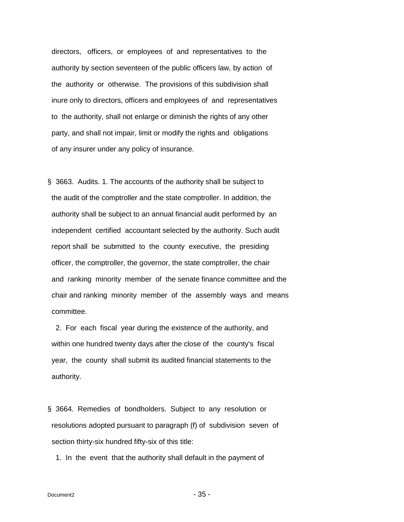directors, officers, or employees of and representatives to the authority by section seventeen of the public officers law, by action of the authority or otherwise. The provisions of this subdivision shall inure only to directors, officers and employees of and representatives to the authority, shall not enlarge or diminish the rights of any other party, and shall not impair, limit or modify the rights and obligations of any insurer under any policy of insurance.

<span id="page-34-0"></span>§ 3663. Audits. 1. The accounts of the authority shall be subject to the audit of the comptroller and the state comptroller. In addition, the authority shall be subject to an annual financial audit performed by an independent certified accountant selected by the authority. Such audit report shall be submitted to the county executive, the presiding officer, the comptroller, the governor, the state comptroller, the chair and ranking minority member of the senate finance committee and the chair and ranking minority member of the assembly ways and means committee.

 2. For each fiscal year during the existence of the authority, and within one hundred twenty days after the close of the county's fiscal year, the county shall submit its audited financial statements to the authority.

<span id="page-34-1"></span>§ 3664. Remedies of bondholders. Subject to any resolution or resolutions adopted pursuant to paragraph (f) of subdivision seven of section thirty-six hundred fifty-six of this title:

1. In the event that the authority shall default in the payment of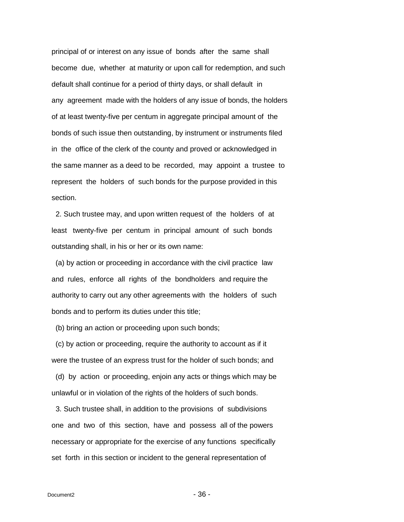principal of or interest on any issue of bonds after the same shall become due, whether at maturity or upon call for redemption, and such default shall continue for a period of thirty days, or shall default in any agreement made with the holders of any issue of bonds, the holders of at least twenty-five per centum in aggregate principal amount of the bonds of such issue then outstanding, by instrument or instruments filed in the office of the clerk of the county and proved or acknowledged in the same manner as a deed to be recorded, may appoint a trustee to represent the holders of such bonds for the purpose provided in this section.

 2. Such trustee may, and upon written request of the holders of at least twenty-five per centum in principal amount of such bonds outstanding shall, in his or her or its own name:

 (a) by action or proceeding in accordance with the civil practice law and rules, enforce all rights of the bondholders and require the authority to carry out any other agreements with the holders of such bonds and to perform its duties under this title;

(b) bring an action or proceeding upon such bonds;

 (c) by action or proceeding, require the authority to account as if it were the trustee of an express trust for the holder of such bonds; and

 (d) by action or proceeding, enjoin any acts or things which may be unlawful or in violation of the rights of the holders of such bonds.

 3. Such trustee shall, in addition to the provisions of subdivisions one and two of this section, have and possess all of the powers necessary or appropriate for the exercise of any functions specifically set forth in this section or incident to the general representation of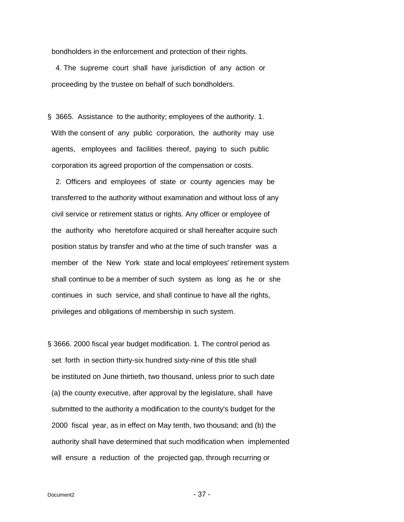bondholders in the enforcement and protection of their rights.

 4. The supreme court shall have jurisdiction of any action or proceeding by the trustee on behalf of such bondholders.

<span id="page-36-0"></span>§ 3665. Assistance to the authority; employees of the authority. 1. With the consent of any public corporation, the authority may use agents, employees and facilities thereof, paying to such public corporation its agreed proportion of the compensation or costs.

 2. Officers and employees of state or county agencies may be transferred to the authority without examination and without loss of any civil service or retirement status or rights. Any officer or employee of the authority who heretofore acquired or shall hereafter acquire such position status by transfer and who at the time of such transfer was a member of the New York state and local employees' retirement system shall continue to be a member of such system as long as he or she continues in such service, and shall continue to have all the rights, privileges and obligations of membership in such system.

<span id="page-36-1"></span>§ 3666. 2000 fiscal year budget modification. 1. The control period as set forth in section thirty-six hundred sixty-nine of this title shall be instituted on June thirtieth, two thousand, unless prior to such date (a) the county executive, after approval by the legislature, shall have submitted to the authority a modification to the county's budget for the 2000 fiscal year, as in effect on May tenth, two thousand; and (b) the authority shall have determined that such modification when implemented will ensure a reduction of the projected gap, through recurring or

 $Document2$  -  $37 -$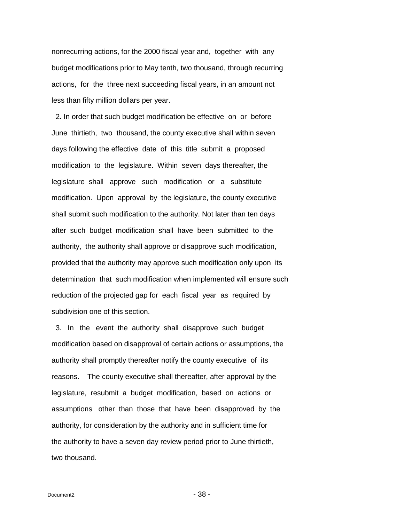nonrecurring actions, for the 2000 fiscal year and, together with any budget modifications prior to May tenth, two thousand, through recurring actions, for the three next succeeding fiscal years, in an amount not less than fifty million dollars per year.

 2. In order that such budget modification be effective on or before June thirtieth, two thousand, the county executive shall within seven days following the effective date of this title submit a proposed modification to the legislature. Within seven days thereafter, the legislature shall approve such modification or a substitute modification. Upon approval by the legislature, the county executive shall submit such modification to the authority. Not later than ten days after such budget modification shall have been submitted to the authority, the authority shall approve or disapprove such modification, provided that the authority may approve such modification only upon its determination that such modification when implemented will ensure such reduction of the projected gap for each fiscal year as required by subdivision one of this section.

 3. In the event the authority shall disapprove such budget modification based on disapproval of certain actions or assumptions, the authority shall promptly thereafter notify the county executive of its reasons. The county executive shall thereafter, after approval by the legislature, resubmit a budget modification, based on actions or assumptions other than those that have been disapproved by the authority, for consideration by the authority and in sufficient time for the authority to have a seven day review period prior to June thirtieth, two thousand.

 $Document2$  -  $38 -$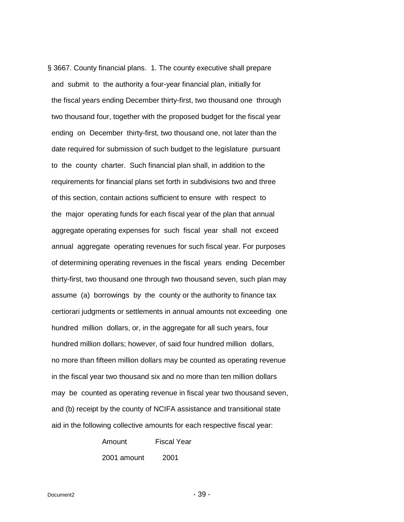<span id="page-38-0"></span>§ 3667. County financial plans. 1. The county executive shall prepare and submit to the authority a four-year financial plan, initially for the fiscal years ending December thirty-first, two thousand one through two thousand four, together with the proposed budget for the fiscal year ending on December thirty-first, two thousand one, not later than the date required for submission of such budget to the legislature pursuant to the county charter. Such financial plan shall, in addition to the requirements for financial plans set forth in subdivisions two and three of this section, contain actions sufficient to ensure with respect to the major operating funds for each fiscal year of the plan that annual aggregate operating expenses for such fiscal year shall not exceed annual aggregate operating revenues for such fiscal year. For purposes of determining operating revenues in the fiscal years ending December thirty-first, two thousand one through two thousand seven, such plan may assume (a) borrowings by the county or the authority to finance tax certiorari judgments or settlements in annual amounts not exceeding one hundred million dollars, or, in the aggregate for all such years, four hundred million dollars; however, of said four hundred million dollars, no more than fifteen million dollars may be counted as operating revenue in the fiscal year two thousand six and no more than ten million dollars may be counted as operating revenue in fiscal year two thousand seven, and (b) receipt by the county of NCIFA assistance and transitional state aid in the following collective amounts for each respective fiscal year:

> Amount Fiscal Year 2001 amount 2001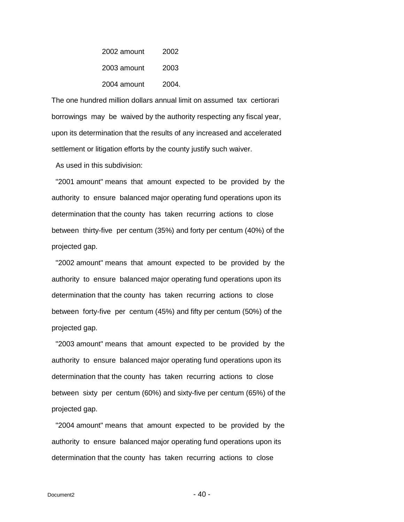| 2002 amount | 2002  |
|-------------|-------|
| 2003 amount | 2003  |
| 2004 amount | 2004. |

 The one hundred million dollars annual limit on assumed tax certiorari borrowings may be waived by the authority respecting any fiscal year, upon its determination that the results of any increased and accelerated settlement or litigation efforts by the county justify such waiver.

As used in this subdivision:

 "2001 amount" means that amount expected to be provided by the authority to ensure balanced major operating fund operations upon its determination that the county has taken recurring actions to close between thirty-five per centum (35%) and forty per centum (40%) of the projected gap.

 "2002 amount" means that amount expected to be provided by the authority to ensure balanced major operating fund operations upon its determination that the county has taken recurring actions to close between forty-five per centum (45%) and fifty per centum (50%) of the projected gap.

 "2003 amount" means that amount expected to be provided by the authority to ensure balanced major operating fund operations upon its determination that the county has taken recurring actions to close between sixty per centum (60%) and sixty-five per centum (65%) of the projected gap.

 "2004 amount" means that amount expected to be provided by the authority to ensure balanced major operating fund operations upon its determination that the county has taken recurring actions to close

 $Document2$  - 40 -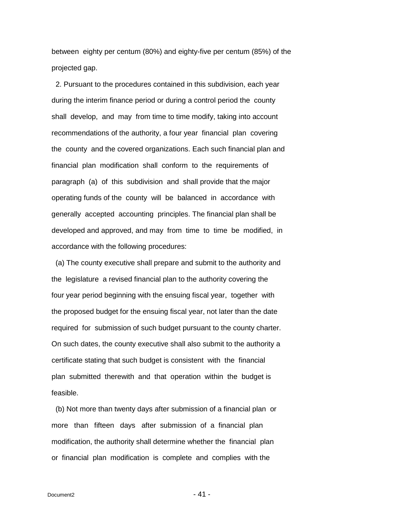between eighty per centum (80%) and eighty-five per centum (85%) of the projected gap.

 2. Pursuant to the procedures contained in this subdivision, each year during the interim finance period or during a control period the county shall develop, and may from time to time modify, taking into account recommendations of the authority, a four year financial plan covering the county and the covered organizations. Each such financial plan and financial plan modification shall conform to the requirements of paragraph (a) of this subdivision and shall provide that the major operating funds of the county will be balanced in accordance with generally accepted accounting principles. The financial plan shall be developed and approved, and may from time to time be modified, in accordance with the following procedures:

 (a) The county executive shall prepare and submit to the authority and the legislature a revised financial plan to the authority covering the four year period beginning with the ensuing fiscal year, together with the proposed budget for the ensuing fiscal year, not later than the date required for submission of such budget pursuant to the county charter. On such dates, the county executive shall also submit to the authority a certificate stating that such budget is consistent with the financial plan submitted therewith and that operation within the budget is feasible.

 (b) Not more than twenty days after submission of a financial plan or more than fifteen days after submission of a financial plan modification, the authority shall determine whether the financial plan or financial plan modification is complete and complies with the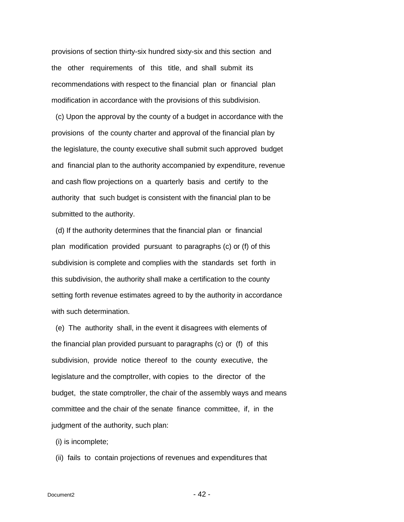provisions of section thirty-six hundred sixty-six and this section and the other requirements of this title, and shall submit its recommendations with respect to the financial plan or financial plan modification in accordance with the provisions of this subdivision.

 (c) Upon the approval by the county of a budget in accordance with the provisions of the county charter and approval of the financial plan by the legislature, the county executive shall submit such approved budget and financial plan to the authority accompanied by expenditure, revenue and cash flow projections on a quarterly basis and certify to the authority that such budget is consistent with the financial plan to be submitted to the authority.

 (d) If the authority determines that the financial plan or financial plan modification provided pursuant to paragraphs (c) or (f) of this subdivision is complete and complies with the standards set forth in this subdivision, the authority shall make a certification to the county setting forth revenue estimates agreed to by the authority in accordance with such determination.

 (e) The authority shall, in the event it disagrees with elements of the financial plan provided pursuant to paragraphs (c) or (f) of this subdivision, provide notice thereof to the county executive, the legislature and the comptroller, with copies to the director of the budget, the state comptroller, the chair of the assembly ways and means committee and the chair of the senate finance committee, if, in the judgment of the authority, such plan:

(i) is incomplete;

(ii) fails to contain projections of revenues and expenditures that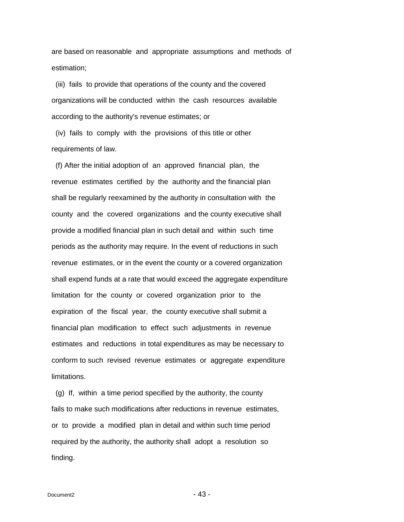are based on reasonable and appropriate assumptions and methods of estimation;

 (iii) fails to provide that operations of the county and the covered organizations will be conducted within the cash resources available according to the authority's revenue estimates; or

 (iv) fails to comply with the provisions of this title or other requirements of law.

 (f) After the initial adoption of an approved financial plan, the revenue estimates certified by the authority and the financial plan shall be regularly reexamined by the authority in consultation with the county and the covered organizations and the county executive shall provide a modified financial plan in such detail and within such time periods as the authority may require. In the event of reductions in such revenue estimates, or in the event the county or a covered organization shall expend funds at a rate that would exceed the aggregate expenditure limitation for the county or covered organization prior to the expiration of the fiscal year, the county executive shall submit a financial plan modification to effect such adjustments in revenue estimates and reductions in total expenditures as may be necessary to conform to such revised revenue estimates or aggregate expenditure limitations.

 (g) If, within a time period specified by the authority, the county fails to make such modifications after reductions in revenue estimates, or to provide a modified plan in detail and within such time period required by the authority, the authority shall adopt a resolution so finding.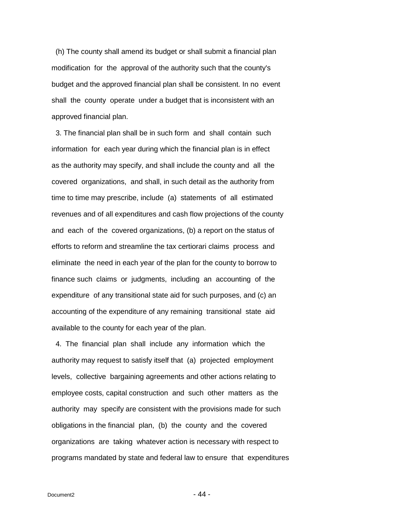(h) The county shall amend its budget or shall submit a financial plan modification for the approval of the authority such that the county's budget and the approved financial plan shall be consistent. In no event shall the county operate under a budget that is inconsistent with an approved financial plan.

 3. The financial plan shall be in such form and shall contain such information for each year during which the financial plan is in effect as the authority may specify, and shall include the county and all the covered organizations, and shall, in such detail as the authority from time to time may prescribe, include (a) statements of all estimated revenues and of all expenditures and cash flow projections of the county and each of the covered organizations, (b) a report on the status of efforts to reform and streamline the tax certiorari claims process and eliminate the need in each year of the plan for the county to borrow to finance such claims or judgments, including an accounting of the expenditure of any transitional state aid for such purposes, and (c) an accounting of the expenditure of any remaining transitional state aid available to the county for each year of the plan.

 4. The financial plan shall include any information which the authority may request to satisfy itself that (a) projected employment levels, collective bargaining agreements and other actions relating to employee costs, capital construction and such other matters as the authority may specify are consistent with the provisions made for such obligations in the financial plan, (b) the county and the covered organizations are taking whatever action is necessary with respect to programs mandated by state and federal law to ensure that expenditures

 $Document2$  - 44 -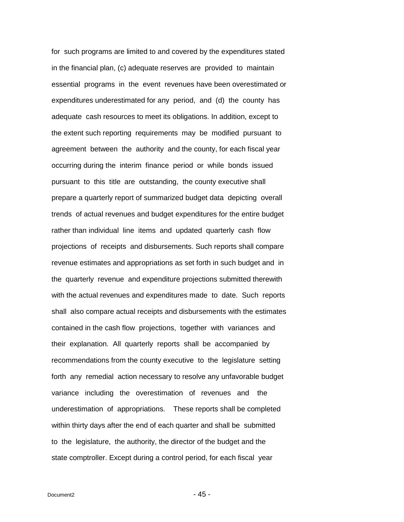for such programs are limited to and covered by the expenditures stated in the financial plan, (c) adequate reserves are provided to maintain essential programs in the event revenues have been overestimated or expenditures underestimated for any period, and (d) the county has adequate cash resources to meet its obligations. In addition, except to the extent such reporting requirements may be modified pursuant to agreement between the authority and the county, for each fiscal year occurring during the interim finance period or while bonds issued pursuant to this title are outstanding, the county executive shall prepare a quarterly report of summarized budget data depicting overall trends of actual revenues and budget expenditures for the entire budget rather than individual line items and updated quarterly cash flow projections of receipts and disbursements. Such reports shall compare revenue estimates and appropriations as set forth in such budget and in the quarterly revenue and expenditure projections submitted therewith with the actual revenues and expenditures made to date. Such reports shall also compare actual receipts and disbursements with the estimates contained in the cash flow projections, together with variances and their explanation. All quarterly reports shall be accompanied by recommendations from the county executive to the legislature setting forth any remedial action necessary to resolve any unfavorable budget variance including the overestimation of revenues and the underestimation of appropriations. These reports shall be completed within thirty days after the end of each quarter and shall be submitted to the legislature, the authority, the director of the budget and the state comptroller. Except during a control period, for each fiscal year

 $Document2$  - 45 -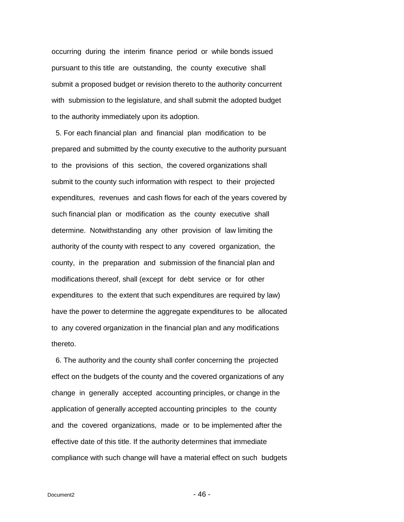occurring during the interim finance period or while bonds issued pursuant to this title are outstanding, the county executive shall submit a proposed budget or revision thereto to the authority concurrent with submission to the legislature, and shall submit the adopted budget to the authority immediately upon its adoption.

 5. For each financial plan and financial plan modification to be prepared and submitted by the county executive to the authority pursuant to the provisions of this section, the covered organizations shall submit to the county such information with respect to their projected expenditures, revenues and cash flows for each of the years covered by such financial plan or modification as the county executive shall determine. Notwithstanding any other provision of law limiting the authority of the county with respect to any covered organization, the county, in the preparation and submission of the financial plan and modifications thereof, shall (except for debt service or for other expenditures to the extent that such expenditures are required by law) have the power to determine the aggregate expenditures to be allocated to any covered organization in the financial plan and any modifications thereto.

 6. The authority and the county shall confer concerning the projected effect on the budgets of the county and the covered organizations of any change in generally accepted accounting principles, or change in the application of generally accepted accounting principles to the county and the covered organizations, made or to be implemented after the effective date of this title. If the authority determines that immediate compliance with such change will have a material effect on such budgets

 $Document2$  - 46 -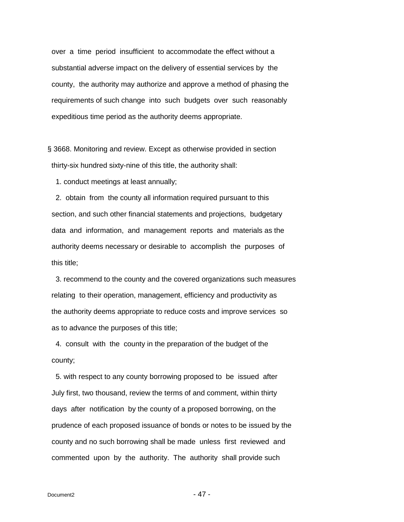over a time period insufficient to accommodate the effect without a substantial adverse impact on the delivery of essential services by the county, the authority may authorize and approve a method of phasing the requirements of such change into such budgets over such reasonably expeditious time period as the authority deems appropriate.

<span id="page-46-0"></span>§ 3668. Monitoring and review. Except as otherwise provided in section thirty-six hundred sixty-nine of this title, the authority shall:

1. conduct meetings at least annually;

 2. obtain from the county all information required pursuant to this section, and such other financial statements and projections, budgetary data and information, and management reports and materials as the authority deems necessary or desirable to accomplish the purposes of this title;

 3. recommend to the county and the covered organizations such measures relating to their operation, management, efficiency and productivity as the authority deems appropriate to reduce costs and improve services so as to advance the purposes of this title;

 4. consult with the county in the preparation of the budget of the county;

 5. with respect to any county borrowing proposed to be issued after July first, two thousand, review the terms of and comment, within thirty days after notification by the county of a proposed borrowing, on the prudence of each proposed issuance of bonds or notes to be issued by the county and no such borrowing shall be made unless first reviewed and commented upon by the authority. The authority shall provide such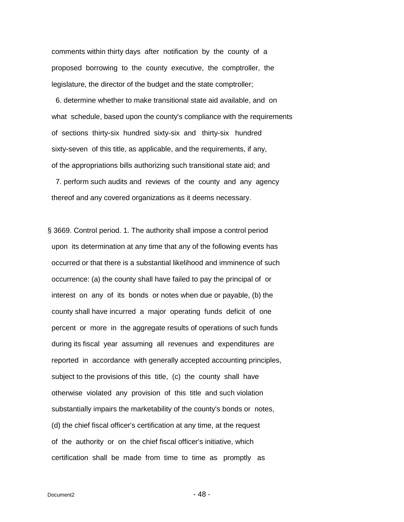comments within thirty days after notification by the county of a proposed borrowing to the county executive, the comptroller, the legislature, the director of the budget and the state comptroller;

 6. determine whether to make transitional state aid available, and on what schedule, based upon the county's compliance with the requirements of sections thirty-six hundred sixty-six and thirty-six hundred sixty-seven of this title, as applicable, and the requirements, if any, of the appropriations bills authorizing such transitional state aid; and

 7. perform such audits and reviews of the county and any agency thereof and any covered organizations as it deems necessary.

<span id="page-47-0"></span>§ 3669. Control period. 1. The authority shall impose a control period upon its determination at any time that any of the following events has occurred or that there is a substantial likelihood and imminence of such occurrence: (a) the county shall have failed to pay the principal of or interest on any of its bonds or notes when due or payable, (b) the county shall have incurred a major operating funds deficit of one percent or more in the aggregate results of operations of such funds during its fiscal year assuming all revenues and expenditures are reported in accordance with generally accepted accounting principles, subject to the provisions of this title, (c) the county shall have otherwise violated any provision of this title and such violation substantially impairs the marketability of the county's bonds or notes, (d) the chief fiscal officer's certification at any time, at the request of the authority or on the chief fiscal officer's initiative, which certification shall be made from time to time as promptly as

 $Document2$  - 48 -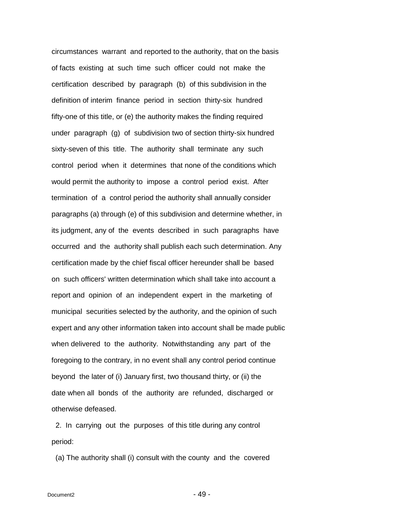circumstances warrant and reported to the authority, that on the basis of facts existing at such time such officer could not make the certification described by paragraph (b) of this subdivision in the definition of interim finance period in section thirty-six hundred fifty-one of this title, or (e) the authority makes the finding required under paragraph (g) of subdivision two of section thirty-six hundred sixty-seven of this title. The authority shall terminate any such control period when it determines that none of the conditions which would permit the authority to impose a control period exist. After termination of a control period the authority shall annually consider paragraphs (a) through (e) of this subdivision and determine whether, in its judgment, any of the events described in such paragraphs have occurred and the authority shall publish each such determination. Any certification made by the chief fiscal officer hereunder shall be based on such officers' written determination which shall take into account a report and opinion of an independent expert in the marketing of municipal securities selected by the authority, and the opinion of such expert and any other information taken into account shall be made public when delivered to the authority. Notwithstanding any part of the foregoing to the contrary, in no event shall any control period continue beyond the later of (i) January first, two thousand thirty, or (ii) the date when all bonds of the authority are refunded, discharged or otherwise defeased.

 2. In carrying out the purposes of this title during any control period:

(a) The authority shall (i) consult with the county and the covered

 $Document2$  - 49 -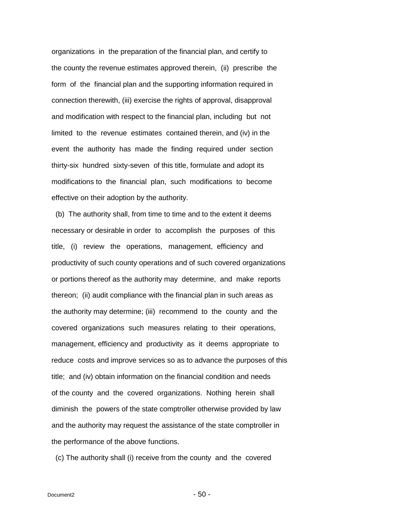organizations in the preparation of the financial plan, and certify to the county the revenue estimates approved therein, (ii) prescribe the form of the financial plan and the supporting information required in connection therewith, (iii) exercise the rights of approval, disapproval and modification with respect to the financial plan, including but not limited to the revenue estimates contained therein, and (iv) in the event the authority has made the finding required under section thirty-six hundred sixty-seven of this title, formulate and adopt its modifications to the financial plan, such modifications to become effective on their adoption by the authority.

 (b) The authority shall, from time to time and to the extent it deems necessary or desirable in order to accomplish the purposes of this title, (i) review the operations, management, efficiency and productivity of such county operations and of such covered organizations or portions thereof as the authority may determine, and make reports thereon; (ii) audit compliance with the financial plan in such areas as the authority may determine; (iii) recommend to the county and the covered organizations such measures relating to their operations, management, efficiency and productivity as it deems appropriate to reduce costs and improve services so as to advance the purposes of this title; and (iv) obtain information on the financial condition and needs of the county and the covered organizations. Nothing herein shall diminish the powers of the state comptroller otherwise provided by law and the authority may request the assistance of the state comptroller in the performance of the above functions.

(c) The authority shall (i) receive from the county and the covered

 $Document2$  - 50 -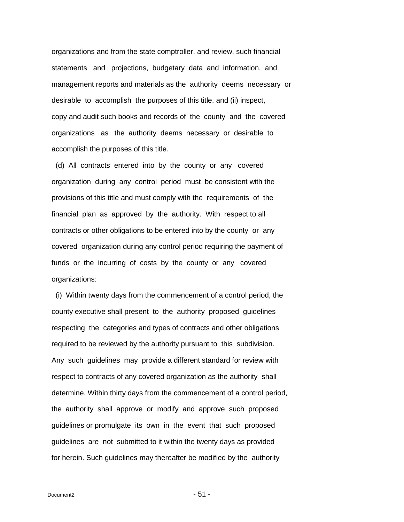organizations and from the state comptroller, and review, such financial statements and projections, budgetary data and information, and management reports and materials as the authority deems necessary or desirable to accomplish the purposes of this title, and (ii) inspect, copy and audit such books and records of the county and the covered organizations as the authority deems necessary or desirable to accomplish the purposes of this title.

 (d) All contracts entered into by the county or any covered organization during any control period must be consistent with the provisions of this title and must comply with the requirements of the financial plan as approved by the authority. With respect to all contracts or other obligations to be entered into by the county or any covered organization during any control period requiring the payment of funds or the incurring of costs by the county or any covered organizations:

 (i) Within twenty days from the commencement of a control period, the county executive shall present to the authority proposed guidelines respecting the categories and types of contracts and other obligations required to be reviewed by the authority pursuant to this subdivision. Any such guidelines may provide a different standard for review with respect to contracts of any covered organization as the authority shall determine. Within thirty days from the commencement of a control period, the authority shall approve or modify and approve such proposed guidelines or promulgate its own in the event that such proposed guidelines are not submitted to it within the twenty days as provided for herein. Such guidelines may thereafter be modified by the authority

 $Document2$  - 51 -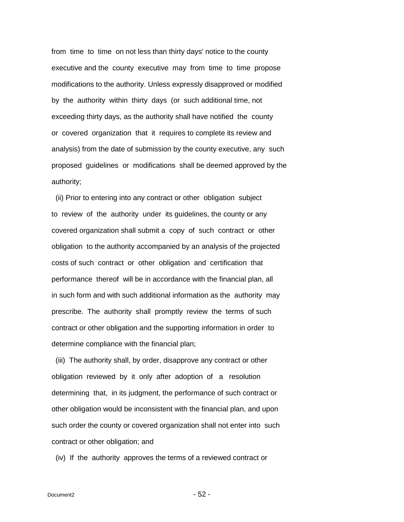from time to time on not less than thirty days' notice to the county executive and the county executive may from time to time propose modifications to the authority. Unless expressly disapproved or modified by the authority within thirty days (or such additional time, not exceeding thirty days, as the authority shall have notified the county or covered organization that it requires to complete its review and analysis) from the date of submission by the county executive, any such proposed guidelines or modifications shall be deemed approved by the authority;

 (ii) Prior to entering into any contract or other obligation subject to review of the authority under its guidelines, the county or any covered organization shall submit a copy of such contract or other obligation to the authority accompanied by an analysis of the projected costs of such contract or other obligation and certification that performance thereof will be in accordance with the financial plan, all in such form and with such additional information as the authority may prescribe. The authority shall promptly review the terms of such contract or other obligation and the supporting information in order to determine compliance with the financial plan;

 (iii) The authority shall, by order, disapprove any contract or other obligation reviewed by it only after adoption of a resolution determining that, in its judgment, the performance of such contract or other obligation would be inconsistent with the financial plan, and upon such order the county or covered organization shall not enter into such contract or other obligation; and

(iv) If the authority approves the terms of a reviewed contract or

 $Document2$  - 52 -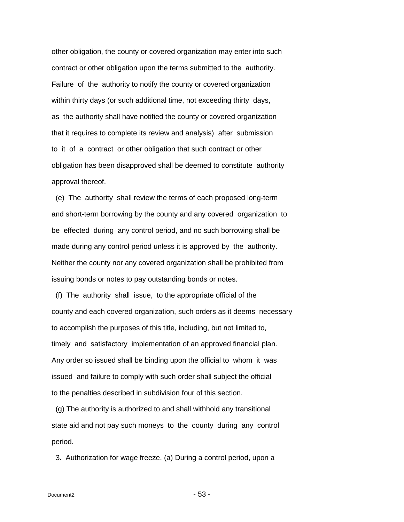other obligation, the county or covered organization may enter into such contract or other obligation upon the terms submitted to the authority. Failure of the authority to notify the county or covered organization within thirty days (or such additional time, not exceeding thirty days, as the authority shall have notified the county or covered organization that it requires to complete its review and analysis) after submission to it of a contract or other obligation that such contract or other obligation has been disapproved shall be deemed to constitute authority approval thereof.

 (e) The authority shall review the terms of each proposed long-term and short-term borrowing by the county and any covered organization to be effected during any control period, and no such borrowing shall be made during any control period unless it is approved by the authority. Neither the county nor any covered organization shall be prohibited from issuing bonds or notes to pay outstanding bonds or notes.

 (f) The authority shall issue, to the appropriate official of the county and each covered organization, such orders as it deems necessary to accomplish the purposes of this title, including, but not limited to, timely and satisfactory implementation of an approved financial plan. Any order so issued shall be binding upon the official to whom it was issued and failure to comply with such order shall subject the official to the penalties described in subdivision four of this section.

 (g) The authority is authorized to and shall withhold any transitional state aid and not pay such moneys to the county during any control period.

3. Authorization for wage freeze. (a) During a control period, upon a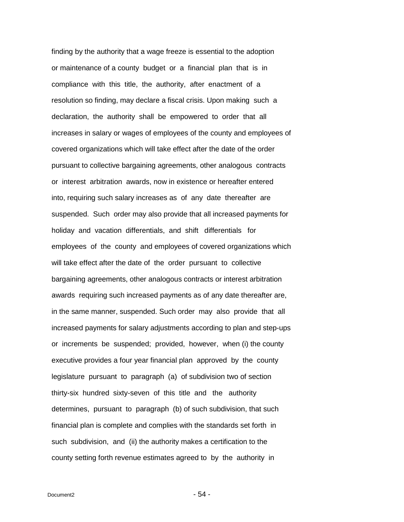finding by the authority that a wage freeze is essential to the adoption or maintenance of a county budget or a financial plan that is in compliance with this title, the authority, after enactment of a resolution so finding, may declare a fiscal crisis. Upon making such a declaration, the authority shall be empowered to order that all increases in salary or wages of employees of the county and employees of covered organizations which will take effect after the date of the order pursuant to collective bargaining agreements, other analogous contracts or interest arbitration awards, now in existence or hereafter entered into, requiring such salary increases as of any date thereafter are suspended. Such order may also provide that all increased payments for holiday and vacation differentials, and shift differentials for employees of the county and employees of covered organizations which will take effect after the date of the order pursuant to collective bargaining agreements, other analogous contracts or interest arbitration awards requiring such increased payments as of any date thereafter are, in the same manner, suspended. Such order may also provide that all increased payments for salary adjustments according to plan and step-ups or increments be suspended; provided, however, when (i) the county executive provides a four year financial plan approved by the county legislature pursuant to paragraph (a) of subdivision two of section thirty-six hundred sixty-seven of this title and the authority determines, pursuant to paragraph (b) of such subdivision, that such financial plan is complete and complies with the standards set forth in such subdivision, and (ii) the authority makes a certification to the county setting forth revenue estimates agreed to by the authority in

 $Document2$  - 54 -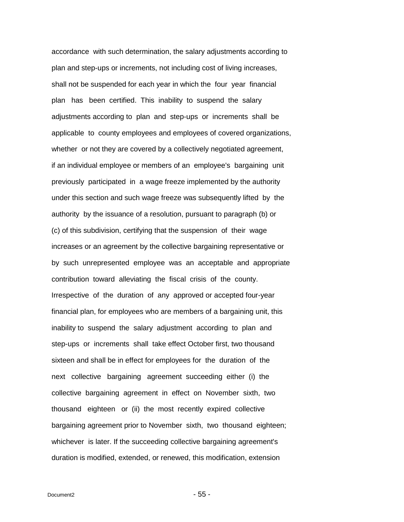accordance with such determination, the salary adjustments according to plan and step-ups or increments, not including cost of living increases, shall not be suspended for each year in which the four year financial plan has been certified. This inability to suspend the salary adjustments according to plan and step-ups or increments shall be applicable to county employees and employees of covered organizations, whether or not they are covered by a collectively negotiated agreement, if an individual employee or members of an employee's bargaining unit previously participated in a wage freeze implemented by the authority under this section and such wage freeze was subsequently lifted by the authority by the issuance of a resolution, pursuant to paragraph (b) or (c) of this subdivision, certifying that the suspension of their wage increases or an agreement by the collective bargaining representative or by such unrepresented employee was an acceptable and appropriate contribution toward alleviating the fiscal crisis of the county. Irrespective of the duration of any approved or accepted four-year financial plan, for employees who are members of a bargaining unit, this inability to suspend the salary adjustment according to plan and step-ups or increments shall take effect October first, two thousand sixteen and shall be in effect for employees for the duration of the next collective bargaining agreement succeeding either (i) the collective bargaining agreement in effect on November sixth, two thousand eighteen or (ii) the most recently expired collective bargaining agreement prior to November sixth, two thousand eighteen; whichever is later. If the succeeding collective bargaining agreement's duration is modified, extended, or renewed, this modification, extension

 $Document2$  - 55 -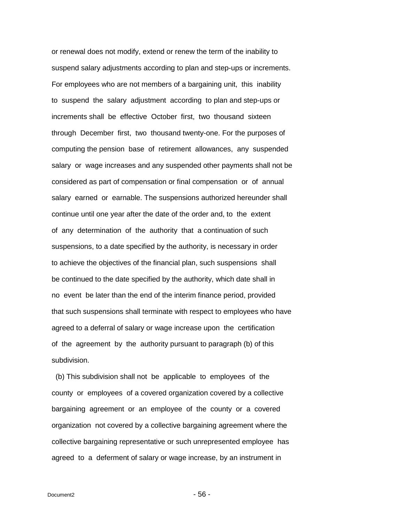or renewal does not modify, extend or renew the term of the inability to suspend salary adjustments according to plan and step-ups or increments. For employees who are not members of a bargaining unit, this inability to suspend the salary adjustment according to plan and step-ups or increments shall be effective October first, two thousand sixteen through December first, two thousand twenty-one. For the purposes of computing the pension base of retirement allowances, any suspended salary or wage increases and any suspended other payments shall not be considered as part of compensation or final compensation or of annual salary earned or earnable. The suspensions authorized hereunder shall continue until one year after the date of the order and, to the extent of any determination of the authority that a continuation of such suspensions, to a date specified by the authority, is necessary in order to achieve the objectives of the financial plan, such suspensions shall be continued to the date specified by the authority, which date shall in no event be later than the end of the interim finance period, provided that such suspensions shall terminate with respect to employees who have agreed to a deferral of salary or wage increase upon the certification of the agreement by the authority pursuant to paragraph (b) of this subdivision.

 (b) This subdivision shall not be applicable to employees of the county or employees of a covered organization covered by a collective bargaining agreement or an employee of the county or a covered organization not covered by a collective bargaining agreement where the collective bargaining representative or such unrepresented employee has agreed to a deferment of salary or wage increase, by an instrument in

 $Document2$  - 56 -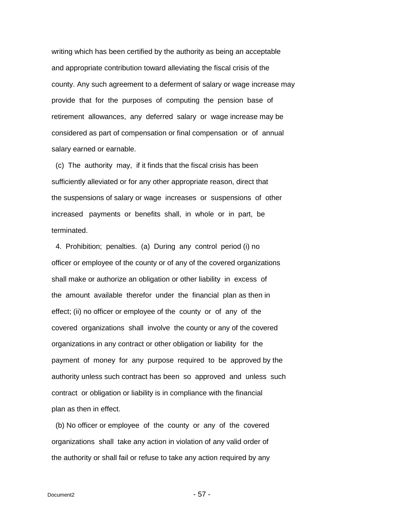writing which has been certified by the authority as being an acceptable and appropriate contribution toward alleviating the fiscal crisis of the county. Any such agreement to a deferment of salary or wage increase may provide that for the purposes of computing the pension base of retirement allowances, any deferred salary or wage increase may be considered as part of compensation or final compensation or of annual salary earned or earnable.

 (c) The authority may, if it finds that the fiscal crisis has been sufficiently alleviated or for any other appropriate reason, direct that the suspensions of salary or wage increases or suspensions of other increased payments or benefits shall, in whole or in part, be terminated.

 4. Prohibition; penalties. (a) During any control period (i) no officer or employee of the county or of any of the covered organizations shall make or authorize an obligation or other liability in excess of the amount available therefor under the financial plan as then in effect; (ii) no officer or employee of the county or of any of the covered organizations shall involve the county or any of the covered organizations in any contract or other obligation or liability for the payment of money for any purpose required to be approved by the authority unless such contract has been so approved and unless such contract or obligation or liability is in compliance with the financial plan as then in effect.

 (b) No officer or employee of the county or any of the covered organizations shall take any action in violation of any valid order of the authority or shall fail or refuse to take any action required by any

 $Document2$  - 57 -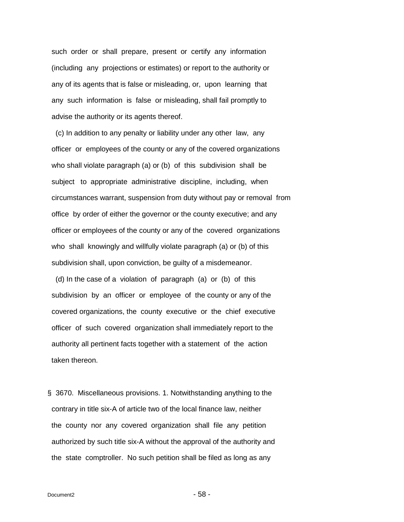such order or shall prepare, present or certify any information (including any projections or estimates) or report to the authority or any of its agents that is false or misleading, or, upon learning that any such information is false or misleading, shall fail promptly to advise the authority or its agents thereof.

 (c) In addition to any penalty or liability under any other law, any officer or employees of the county or any of the covered organizations who shall violate paragraph (a) or (b) of this subdivision shall be subject to appropriate administrative discipline, including, when circumstances warrant, suspension from duty without pay or removal from office by order of either the governor or the county executive; and any officer or employees of the county or any of the covered organizations who shall knowingly and willfully violate paragraph (a) or (b) of this subdivision shall, upon conviction, be guilty of a misdemeanor.

 (d) In the case of a violation of paragraph (a) or (b) of this subdivision by an officer or employee of the county or any of the covered organizations, the county executive or the chief executive officer of such covered organization shall immediately report to the authority all pertinent facts together with a statement of the action taken thereon.

<span id="page-57-0"></span>§ 3670. Miscellaneous provisions. 1. Notwithstanding anything to the contrary in title six-A of article two of the local finance law, neither the county nor any covered organization shall file any petition authorized by such title six-A without the approval of the authority and the state comptroller. No such petition shall be filed as long as any

 $Document2$  - 58 -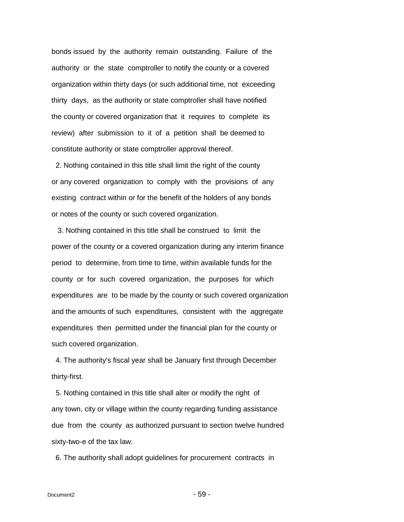bonds issued by the authority remain outstanding. Failure of the authority or the state comptroller to notify the county or a covered organization within thirty days (or such additional time, not exceeding thirty days, as the authority or state comptroller shall have notified the county or covered organization that it requires to complete its review) after submission to it of a petition shall be deemed to constitute authority or state comptroller approval thereof.

 2. Nothing contained in this title shall limit the right of the county or any covered organization to comply with the provisions of any existing contract within or for the benefit of the holders of any bonds or notes of the county or such covered organization.

 3. Nothing contained in this title shall be construed to limit the power of the county or a covered organization during any interim finance period to determine, from time to time, within available funds for the county or for such covered organization, the purposes for which expenditures are to be made by the county or such covered organization and the amounts of such expenditures, consistent with the aggregate expenditures then permitted under the financial plan for the county or such covered organization.

 4. The authority's fiscal year shall be January first through December thirty-first.

 5. Nothing contained in this title shall alter or modify the right of any town, city or village within the county regarding funding assistance due from the county as authorized pursuant to section twelve hundred sixty-two-e of the tax law.

6. The authority shall adopt guidelines for procurement contracts in